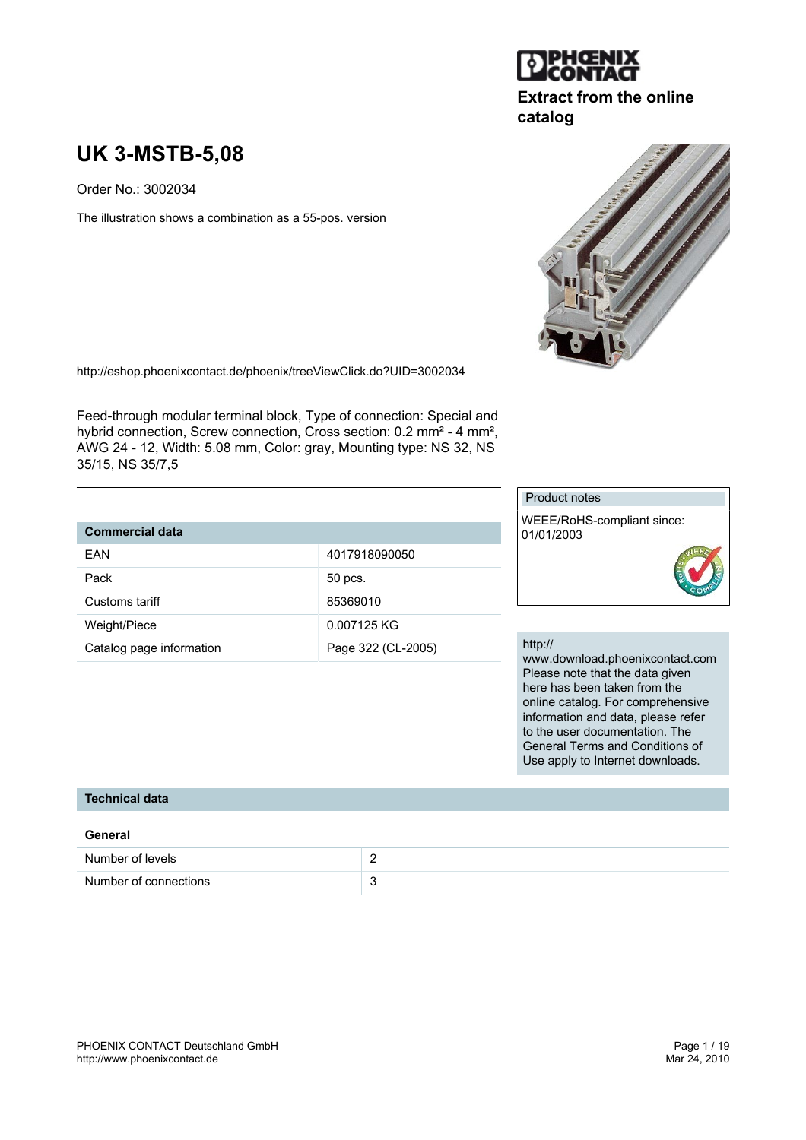

# **Extract from the online catalog**

# **UK 3-MSTB-5,08**

Order No.: 3002034

The illustration shows a combination as a 55-pos. version



http://eshop.phoenixcontact.de/phoenix/treeViewClick.do?UID=3002034

EAN 4017918090050

Catalog page information <br>
Page 322 (CL-2005)

Pack 50 pcs. Customs tariff 85369010 Weight/Piece 0.007125 KG

Feed-through modular terminal block, Type of connection: Special and hybrid connection, Screw connection, Cross section: 0.2 mm² - 4 mm², AWG 24 - 12, Width: 5.08 mm, Color: gray, Mounting type: NS 32, NS 35/15, NS 35/7,5

## Product notes

WEEE/RoHS-compliant since: 01/01/2003



#### http://

www.download.phoenixcontact.com Please note that the data given here has been taken from the online catalog. For comprehensive information and data, please refer to the user documentation. The General Terms and Conditions of Use apply to Internet downloads.

#### **Technical data**

**Commercial data**

| General               |  |
|-----------------------|--|
| Number of levels      |  |
| Number of connections |  |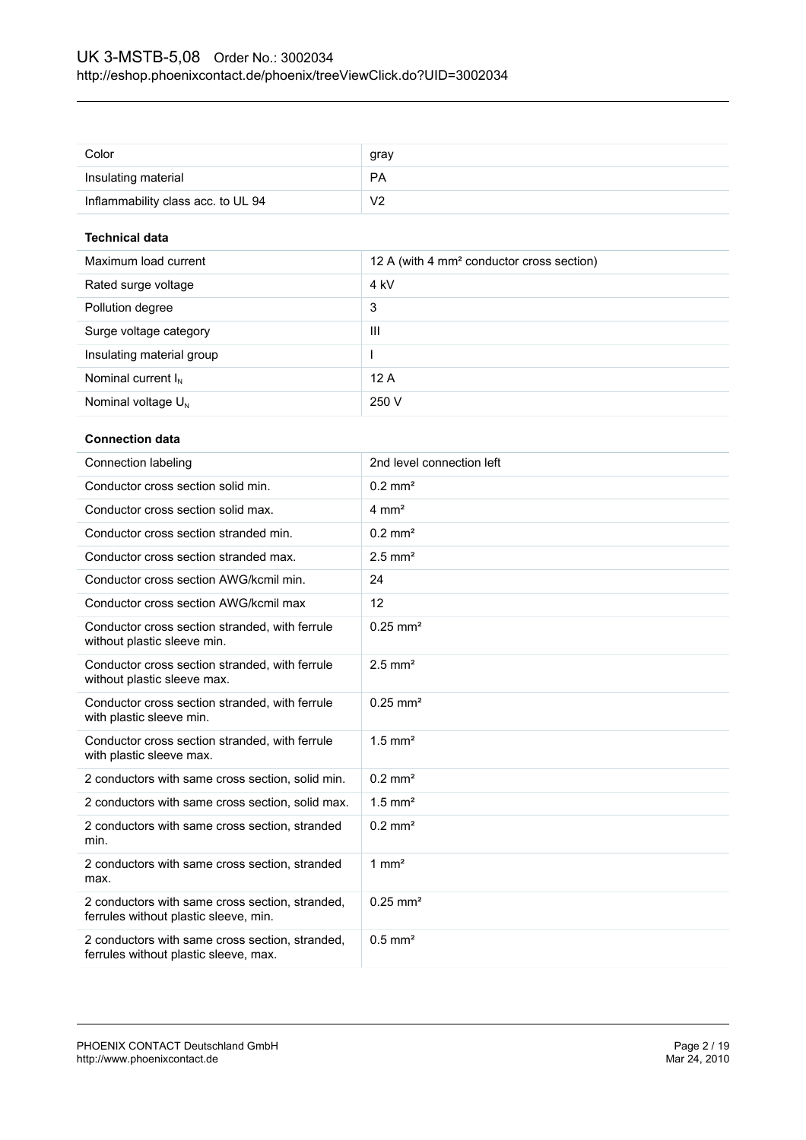| Color                              | gray      |
|------------------------------------|-----------|
| Insulating material                | <b>PA</b> |
| Inflammability class acc. to UL 94 | V2        |

## **Technical data**

| Maximum load current      | 12 A (with 4 mm <sup>2</sup> conductor cross section) |
|---------------------------|-------------------------------------------------------|
| Rated surge voltage       | 4 kV                                                  |
| Pollution degree          | 3                                                     |
| Surge voltage category    | Ш                                                     |
| Insulating material group |                                                       |
| Nominal current $I_N$     | 12A                                                   |
| Nominal voltage $U_{N}$   | 250 V                                                 |

## **Connection data**

| Connection labeling                                                                      | 2nd level connection left |
|------------------------------------------------------------------------------------------|---------------------------|
| Conductor cross section solid min.                                                       | $0.2$ mm <sup>2</sup>     |
| Conductor cross section solid max.                                                       | $4 \text{ mm}^2$          |
| Conductor cross section stranded min.                                                    | $0.2 \text{ mm}^2$        |
| Conductor cross section stranded max.                                                    | $2.5$ mm <sup>2</sup>     |
| Conductor cross section AWG/kcmil min.                                                   | 24                        |
| Conductor cross section AWG/kcmil max                                                    | 12                        |
| Conductor cross section stranded, with ferrule<br>without plastic sleeve min.            | $0.25$ mm <sup>2</sup>    |
| Conductor cross section stranded, with ferrule<br>without plastic sleeve max.            | $2.5$ mm <sup>2</sup>     |
| Conductor cross section stranded, with ferrule<br>with plastic sleeve min.               | $0.25 \text{ mm}^2$       |
| Conductor cross section stranded, with ferrule<br>with plastic sleeve max.               | $1.5$ mm <sup>2</sup>     |
| 2 conductors with same cross section, solid min.                                         | $0.2 \text{ mm}^2$        |
| 2 conductors with same cross section, solid max.                                         | $1.5$ mm <sup>2</sup>     |
| 2 conductors with same cross section, stranded<br>min.                                   | $0.2 \text{ mm}^2$        |
| 2 conductors with same cross section, stranded<br>max.                                   | $1 \text{ mm}^2$          |
| 2 conductors with same cross section, stranded,<br>ferrules without plastic sleeve, min. | $0.25 \text{ mm}^2$       |
| 2 conductors with same cross section, stranded,<br>ferrules without plastic sleeve, max. | $0.5$ mm <sup>2</sup>     |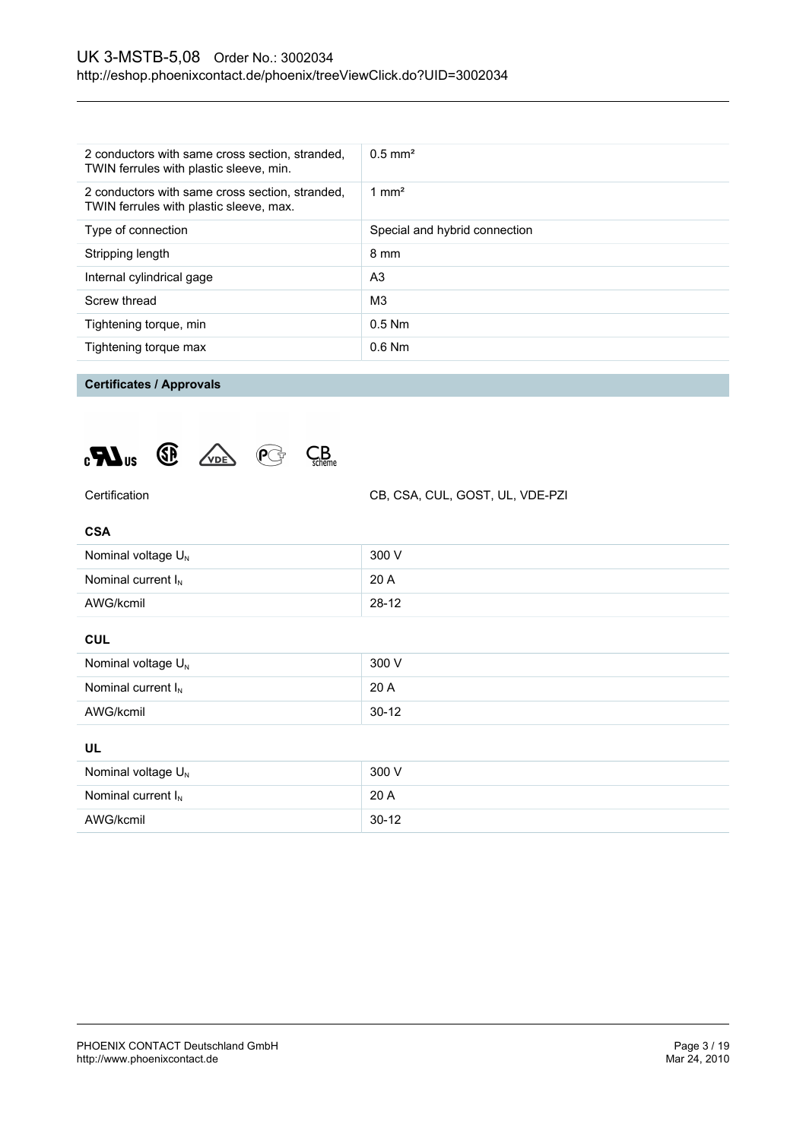| 2 conductors with same cross section, stranded,<br>TWIN ferrules with plastic sleeve, min. | $0.5 \text{ mm}^2$            |
|--------------------------------------------------------------------------------------------|-------------------------------|
| 2 conductors with same cross section, stranded,<br>TWIN ferrules with plastic sleeve, max. | 1 mm <sup>2</sup>             |
| Type of connection                                                                         | Special and hybrid connection |
| Stripping length                                                                           | 8 mm                          |
| Internal cylindrical gage                                                                  | A <sub>3</sub>                |
| Screw thread                                                                               | M <sub>3</sub>                |
| Tightening torque, min                                                                     | $0.5$ Nm                      |
| Tightening torque max                                                                      | $0.6$ Nm                      |

## **Certificates / Approvals**





Certification CB, CSA, CUL, GOST, UL, VDE-PZI

#### **CSA**

| Nominal voltage $U_N$          | 300 V     |  |
|--------------------------------|-----------|--|
| Nominal current $I_N$          | 20 A      |  |
| AWG/kcmil                      | $28-12$   |  |
| <b>CUL</b>                     |           |  |
| Nominal voltage $U_N$          | 300 V     |  |
| Nominal current $I_N$          | 20 A      |  |
| AWG/kcmil                      | $30 - 12$ |  |
| UL                             |           |  |
| Nominal voltage U <sub>N</sub> | 300 V     |  |

Nominal current  $I_N$  20 A AWG/kcmil 30-12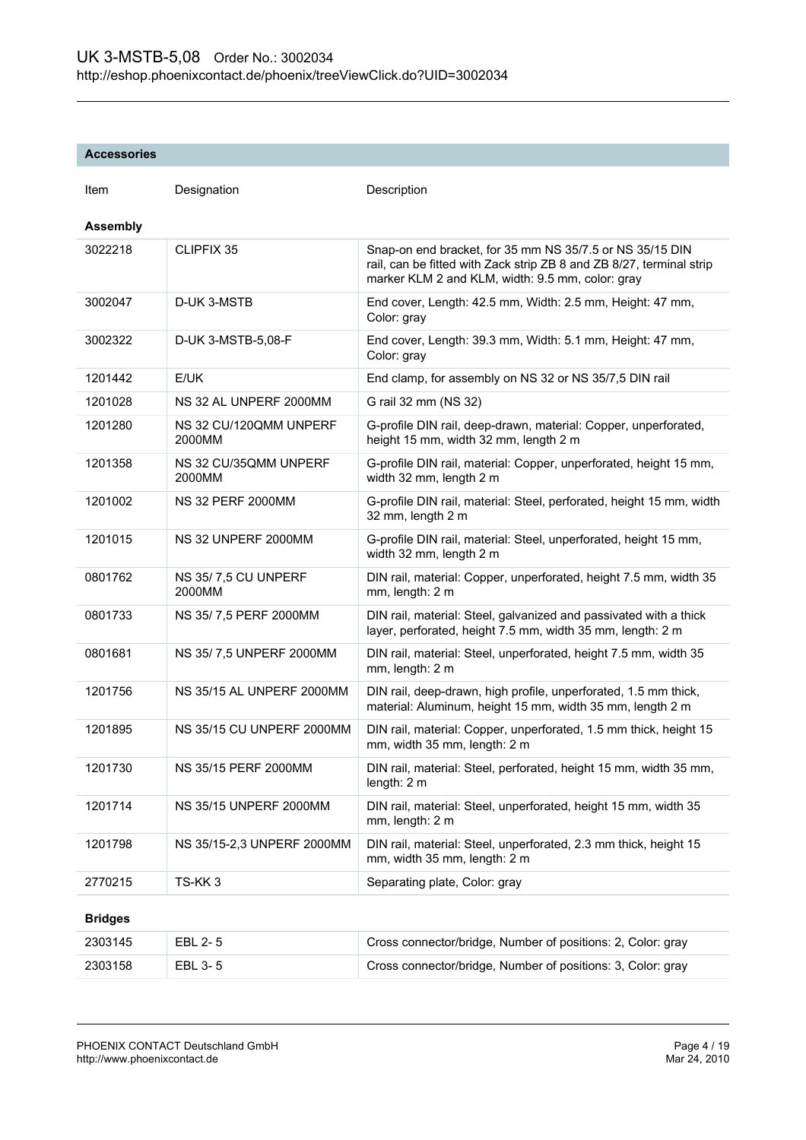#### **Accessories**

| Item            | Designation                      | Description                                                                                                                                                                          |
|-----------------|----------------------------------|--------------------------------------------------------------------------------------------------------------------------------------------------------------------------------------|
| <b>Assembly</b> |                                  |                                                                                                                                                                                      |
| 3022218         | CLIPFIX 35                       | Snap-on end bracket, for 35 mm NS 35/7.5 or NS 35/15 DIN<br>rail, can be fitted with Zack strip ZB 8 and ZB 8/27, terminal strip<br>marker KLM 2 and KLM, width: 9.5 mm, color: gray |
| 3002047         | D-UK 3-MSTB                      | End cover, Length: 42.5 mm, Width: 2.5 mm, Height: 47 mm,<br>Color: gray                                                                                                             |
| 3002322         | D-UK 3-MSTB-5,08-F               | End cover, Length: 39.3 mm, Width: 5.1 mm, Height: 47 mm,<br>Color: gray                                                                                                             |
| 1201442         | E/UK                             | End clamp, for assembly on NS 32 or NS 35/7,5 DIN rail                                                                                                                               |
| 1201028         | NS 32 AL UNPERF 2000MM           | G rail 32 mm (NS 32)                                                                                                                                                                 |
| 1201280         | NS 32 CU/120QMM UNPERF<br>2000MM | G-profile DIN rail, deep-drawn, material: Copper, unperforated,<br>height 15 mm, width 32 mm, length 2 m                                                                             |
| 1201358         | NS 32 CU/35QMM UNPERF<br>2000MM  | G-profile DIN rail, material: Copper, unperforated, height 15 mm,<br>width 32 mm, length 2 m                                                                                         |
| 1201002         | <b>NS 32 PERF 2000MM</b>         | G-profile DIN rail, material: Steel, perforated, height 15 mm, width<br>32 mm, length 2 m                                                                                            |
| 1201015         | NS 32 UNPERF 2000MM              | G-profile DIN rail, material: Steel, unperforated, height 15 mm,<br>width 32 mm, length 2 m                                                                                          |
| 0801762         | NS 35/7,5 CU UNPERF<br>2000MM    | DIN rail, material: Copper, unperforated, height 7.5 mm, width 35<br>mm, length: 2 m                                                                                                 |
| 0801733         | NS 35/7,5 PERF 2000MM            | DIN rail, material: Steel, galvanized and passivated with a thick<br>layer, perforated, height 7.5 mm, width 35 mm, length: 2 m                                                      |
| 0801681         | NS 35/7,5 UNPERF 2000MM          | DIN rail, material: Steel, unperforated, height 7.5 mm, width 35<br>mm, length: 2 m                                                                                                  |
| 1201756         | NS 35/15 AL UNPERF 2000MM        | DIN rail, deep-drawn, high profile, unperforated, 1.5 mm thick,<br>material: Aluminum, height 15 mm, width 35 mm, length 2 m                                                         |
| 1201895         | NS 35/15 CU UNPERF 2000MM        | DIN rail, material: Copper, unperforated, 1.5 mm thick, height 15<br>mm, width 35 mm, length: 2 m                                                                                    |
| 1201730         | NS 35/15 PERF 2000MM             | DIN rail, material: Steel, perforated, height 15 mm, width 35 mm,<br>length: 2 m                                                                                                     |
| 1201714         | NS 35/15 UNPERF 2000MM           | DIN rail, material: Steel, unperforated, height 15 mm, width 35<br>mm, length: 2 m                                                                                                   |
| 1201798         | NS 35/15-2,3 UNPERF 2000MM       | DIN rail, material: Steel, unperforated, 2.3 mm thick, height 15<br>mm, width 35 mm, length: 2 m                                                                                     |
| 2770215         | TS-KK3                           | Separating plate, Color: gray                                                                                                                                                        |
| <b>Bridges</b>  |                                  |                                                                                                                                                                                      |
| 2303145         | EBL 2-5                          | Cross connector/bridge, Number of positions: 2, Color: gray                                                                                                                          |
| 2303158         | EBL 3-5                          | Cross connector/bridge, Number of positions: 3, Color: gray                                                                                                                          |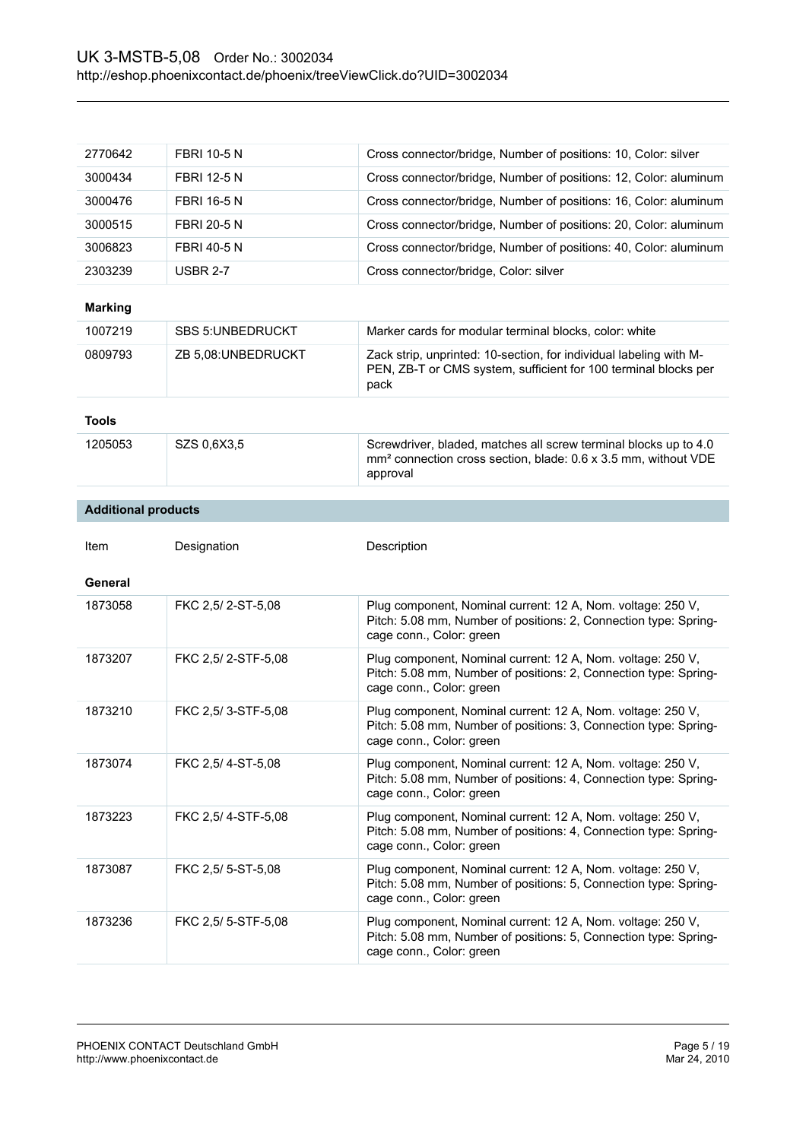| 2770642                    | <b>FBRI 10-5 N</b>       | Cross connector/bridge, Number of positions: 10, Color: silver                                                                                              |
|----------------------------|--------------------------|-------------------------------------------------------------------------------------------------------------------------------------------------------------|
| 3000434                    | <b>FBRI 12-5 N</b>       | Cross connector/bridge, Number of positions: 12, Color: aluminum                                                                                            |
| 3000476                    | <b>FBRI 16-5 N</b>       | Cross connector/bridge, Number of positions: 16, Color: aluminum                                                                                            |
| 3000515                    | <b>FBRI 20-5 N</b>       | Cross connector/bridge, Number of positions: 20, Color: aluminum                                                                                            |
| 3006823                    | <b>FBRI 40-5 N</b>       | Cross connector/bridge, Number of positions: 40, Color: aluminum                                                                                            |
| 2303239                    | <b>USBR 2-7</b>          | Cross connector/bridge, Color: silver                                                                                                                       |
| <b>Marking</b>             |                          |                                                                                                                                                             |
| 1007219                    | <b>SBS 5: UNBEDRUCKT</b> | Marker cards for modular terminal blocks, color: white                                                                                                      |
| 0809793                    | ZB 5,08:UNBEDRUCKT       | Zack strip, unprinted: 10-section, for individual labeling with M-<br>PEN, ZB-T or CMS system, sufficient for 100 terminal blocks per<br>pack               |
| <b>Tools</b>               |                          |                                                                                                                                                             |
| 1205053                    | SZS 0,6X3,5              | Screwdriver, bladed, matches all screw terminal blocks up to 4.0<br>mm <sup>2</sup> connection cross section, blade: 0.6 x 3.5 mm, without VDE<br>approval  |
| <b>Additional products</b> |                          |                                                                                                                                                             |
|                            |                          |                                                                                                                                                             |
| Item                       | Designation              | Description                                                                                                                                                 |
| General                    |                          |                                                                                                                                                             |
|                            |                          |                                                                                                                                                             |
| 1873058                    | FKC 2,5/2-ST-5,08        | Plug component, Nominal current: 12 A, Nom. voltage: 250 V,<br>Pitch: 5.08 mm, Number of positions: 2, Connection type: Spring-<br>cage conn., Color: green |
| 1873207                    | FKC 2,5/2-STF-5,08       | Plug component, Nominal current: 12 A, Nom. voltage: 250 V,<br>Pitch: 5.08 mm, Number of positions: 2, Connection type: Spring-<br>cage conn., Color: green |
| 1873210                    | FKC 2,5/3-STF-5,08       | Plug component, Nominal current: 12 A, Nom. voltage: 250 V,<br>Pitch: 5.08 mm, Number of positions: 3, Connection type: Spring-<br>cage conn., Color: green |
| 1873074                    | FKC 2,5/4-ST-5,08        | Plug component, Nominal current: 12 A, Nom. voltage: 250 V,<br>Pitch: 5.08 mm, Number of positions: 4, Connection type: Spring-<br>cage conn., Color: green |
| 1873223                    | FKC 2,5/4-STF-5,08       | Plug component, Nominal current: 12 A, Nom. voltage: 250 V,<br>Pitch: 5.08 mm, Number of positions: 4, Connection type: Spring-<br>cage conn., Color: green |
| 1873087                    | FKC 2,5/ 5-ST-5,08       | Plug component, Nominal current: 12 A, Nom. voltage: 250 V,<br>Pitch: 5.08 mm, Number of positions: 5, Connection type: Spring-<br>cage conn., Color: green |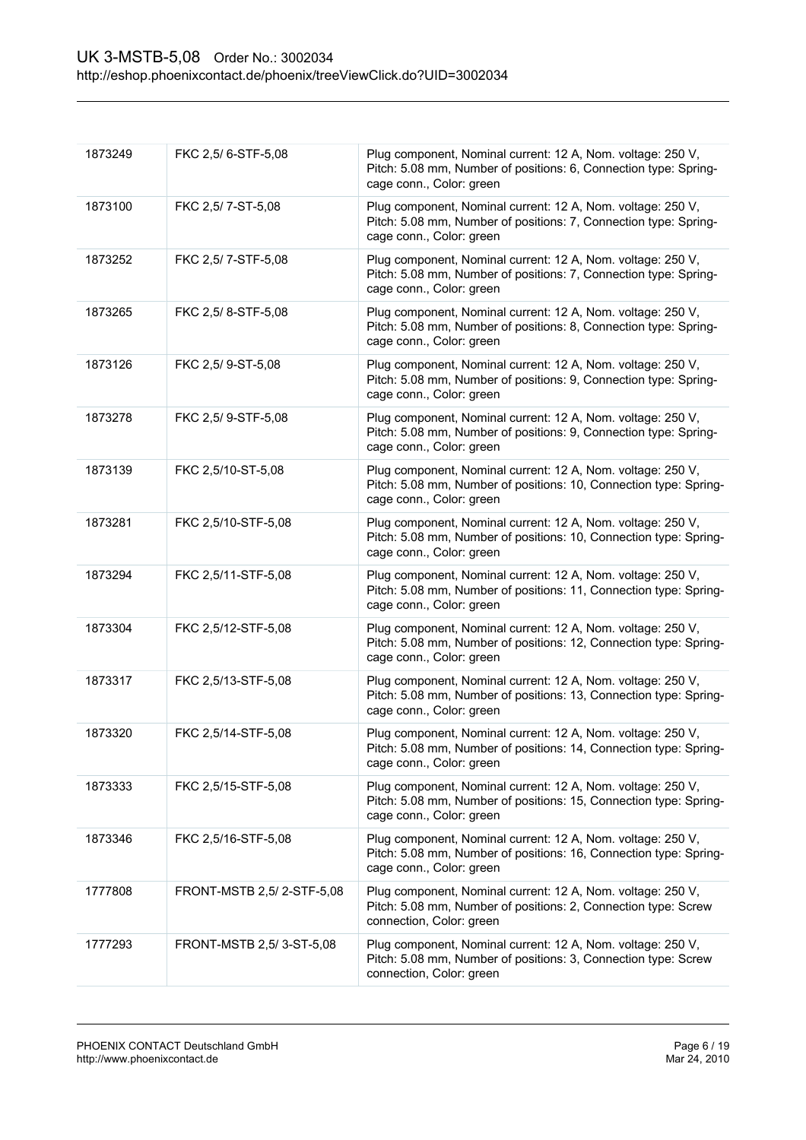| 1873249 | FKC 2,5/6-STF-5,08        | Plug component, Nominal current: 12 A, Nom. voltage: 250 V,<br>Pitch: 5.08 mm, Number of positions: 6, Connection type: Spring-<br>cage conn., Color: green  |
|---------|---------------------------|--------------------------------------------------------------------------------------------------------------------------------------------------------------|
| 1873100 | FKC 2,5/7-ST-5,08         | Plug component, Nominal current: 12 A, Nom. voltage: 250 V,<br>Pitch: 5.08 mm, Number of positions: 7, Connection type: Spring-<br>cage conn., Color: green  |
| 1873252 | FKC 2,5/7-STF-5,08        | Plug component, Nominal current: 12 A, Nom. voltage: 250 V,<br>Pitch: 5.08 mm, Number of positions: 7, Connection type: Spring-<br>cage conn., Color: green  |
| 1873265 | FKC 2,5/8-STF-5,08        | Plug component, Nominal current: 12 A, Nom. voltage: 250 V,<br>Pitch: 5.08 mm, Number of positions: 8, Connection type: Spring-<br>cage conn., Color: green  |
| 1873126 | FKC 2,5/9-ST-5,08         | Plug component, Nominal current: 12 A, Nom. voltage: 250 V,<br>Pitch: 5.08 mm, Number of positions: 9, Connection type: Spring-<br>cage conn., Color: green  |
| 1873278 | FKC 2,5/9-STF-5,08        | Plug component, Nominal current: 12 A, Nom. voltage: 250 V,<br>Pitch: 5.08 mm, Number of positions: 9, Connection type: Spring-<br>cage conn., Color: green  |
| 1873139 | FKC 2,5/10-ST-5,08        | Plug component, Nominal current: 12 A, Nom. voltage: 250 V,<br>Pitch: 5.08 mm, Number of positions: 10, Connection type: Spring-<br>cage conn., Color: green |
| 1873281 | FKC 2,5/10-STF-5,08       | Plug component, Nominal current: 12 A, Nom. voltage: 250 V,<br>Pitch: 5.08 mm, Number of positions: 10, Connection type: Spring-<br>cage conn., Color: green |
| 1873294 | FKC 2,5/11-STF-5,08       | Plug component, Nominal current: 12 A, Nom. voltage: 250 V,<br>Pitch: 5.08 mm, Number of positions: 11, Connection type: Spring-<br>cage conn., Color: green |
| 1873304 | FKC 2,5/12-STF-5,08       | Plug component, Nominal current: 12 A, Nom. voltage: 250 V,<br>Pitch: 5.08 mm, Number of positions: 12, Connection type: Spring-<br>cage conn., Color: green |
| 1873317 | FKC 2,5/13-STF-5,08       | Plug component, Nominal current: 12 A, Nom. voltage: 250 V,<br>Pitch: 5.08 mm, Number of positions: 13, Connection type: Spring-<br>cage conn., Color: green |
| 1873320 | FKC 2,5/14-STF-5,08       | Plug component, Nominal current: 12 A, Nom. voltage: 250 V,<br>Pitch: 5.08 mm, Number of positions: 14, Connection type: Spring-<br>cage conn., Color: green |
| 1873333 | FKC 2,5/15-STF-5,08       | Plug component, Nominal current: 12 A, Nom. voltage: 250 V,<br>Pitch: 5.08 mm, Number of positions: 15, Connection type: Spring-<br>cage conn., Color: green |
| 1873346 | FKC 2,5/16-STF-5,08       | Plug component, Nominal current: 12 A, Nom. voltage: 250 V,<br>Pitch: 5.08 mm, Number of positions: 16, Connection type: Spring-<br>cage conn., Color: green |
| 1777808 | FRONT-MSTB 2,5/2-STF-5,08 | Plug component, Nominal current: 12 A, Nom. voltage: 250 V,<br>Pitch: 5.08 mm, Number of positions: 2, Connection type: Screw<br>connection, Color: green    |
| 1777293 | FRONT-MSTB 2,5/3-ST-5,08  | Plug component, Nominal current: 12 A, Nom. voltage: 250 V,<br>Pitch: 5.08 mm, Number of positions: 3, Connection type: Screw<br>connection, Color: green    |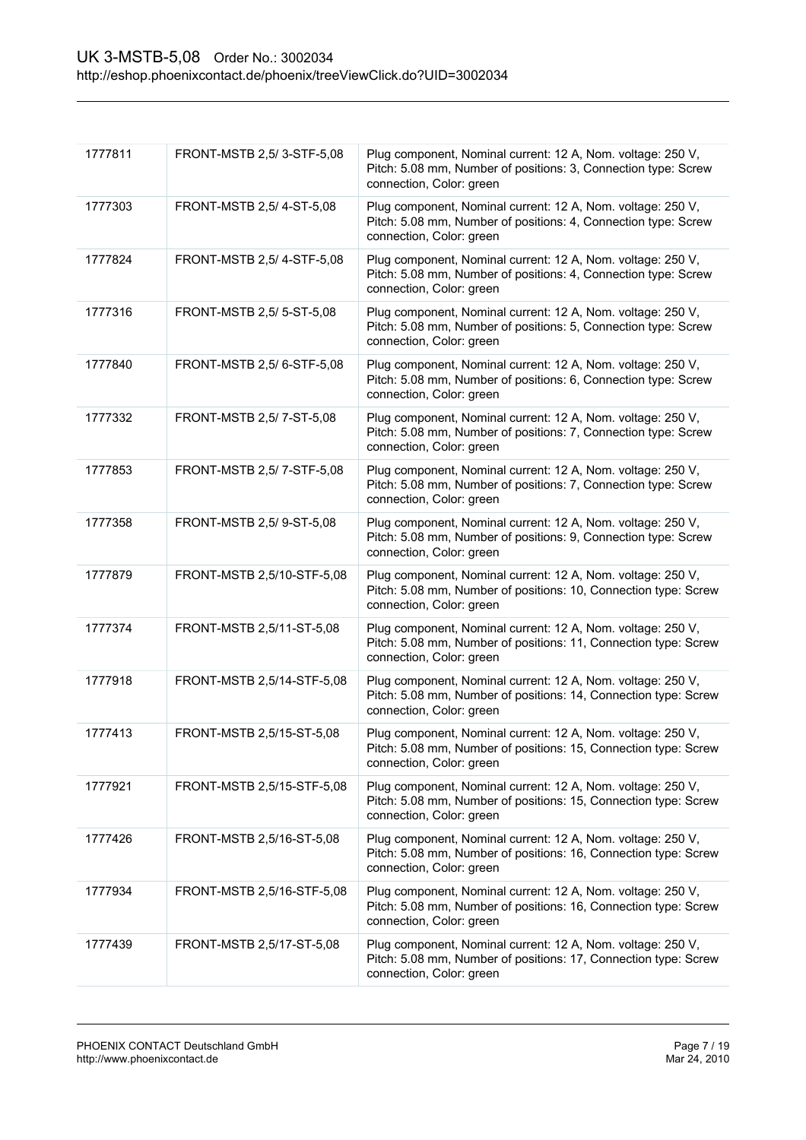| 1777811 | FRONT-MSTB 2,5/3-STF-5,08  | Plug component, Nominal current: 12 A, Nom. voltage: 250 V,<br>Pitch: 5.08 mm, Number of positions: 3, Connection type: Screw<br>connection, Color: green  |
|---------|----------------------------|------------------------------------------------------------------------------------------------------------------------------------------------------------|
| 1777303 | FRONT-MSTB 2,5/4-ST-5,08   | Plug component, Nominal current: 12 A, Nom. voltage: 250 V,<br>Pitch: 5.08 mm, Number of positions: 4, Connection type: Screw<br>connection, Color: green  |
| 1777824 | FRONT-MSTB 2,5/4-STF-5,08  | Plug component, Nominal current: 12 A, Nom. voltage: 250 V,<br>Pitch: 5.08 mm, Number of positions: 4, Connection type: Screw<br>connection, Color: green  |
| 1777316 | FRONT-MSTB 2,5/ 5-ST-5,08  | Plug component, Nominal current: 12 A, Nom. voltage: 250 V,<br>Pitch: 5.08 mm, Number of positions: 5, Connection type: Screw<br>connection, Color: green  |
| 1777840 | FRONT-MSTB 2,5/ 6-STF-5,08 | Plug component, Nominal current: 12 A, Nom. voltage: 250 V,<br>Pitch: 5.08 mm, Number of positions: 6, Connection type: Screw<br>connection, Color: green  |
| 1777332 | FRONT-MSTB 2,5/7-ST-5,08   | Plug component, Nominal current: 12 A, Nom. voltage: 250 V,<br>Pitch: 5.08 mm, Number of positions: 7, Connection type: Screw<br>connection, Color: green  |
| 1777853 | FRONT-MSTB 2,5/7-STF-5,08  | Plug component, Nominal current: 12 A, Nom. voltage: 250 V,<br>Pitch: 5.08 mm, Number of positions: 7, Connection type: Screw<br>connection, Color: green  |
| 1777358 | FRONT-MSTB 2,5/9-ST-5,08   | Plug component, Nominal current: 12 A, Nom. voltage: 250 V,<br>Pitch: 5.08 mm, Number of positions: 9, Connection type: Screw<br>connection, Color: green  |
| 1777879 | FRONT-MSTB 2,5/10-STF-5,08 | Plug component, Nominal current: 12 A, Nom. voltage: 250 V,<br>Pitch: 5.08 mm, Number of positions: 10, Connection type: Screw<br>connection, Color: green |
| 1777374 | FRONT-MSTB 2,5/11-ST-5,08  | Plug component, Nominal current: 12 A, Nom. voltage: 250 V,<br>Pitch: 5.08 mm, Number of positions: 11, Connection type: Screw<br>connection, Color: green |
| 1777918 | FRONT-MSTB 2,5/14-STF-5,08 | Plug component, Nominal current: 12 A, Nom. voltage: 250 V,<br>Pitch: 5.08 mm, Number of positions: 14, Connection type: Screw<br>connection, Color: green |
| 1777413 | FRONT-MSTB 2,5/15-ST-5,08  | Plug component, Nominal current: 12 A, Nom. voltage: 250 V,<br>Pitch: 5.08 mm, Number of positions: 15, Connection type: Screw<br>connection, Color: green |
| 1777921 | FRONT-MSTB 2,5/15-STF-5,08 | Plug component, Nominal current: 12 A, Nom. voltage: 250 V,<br>Pitch: 5.08 mm, Number of positions: 15, Connection type: Screw<br>connection, Color: green |
| 1777426 | FRONT-MSTB 2,5/16-ST-5,08  | Plug component, Nominal current: 12 A, Nom. voltage: 250 V,<br>Pitch: 5.08 mm, Number of positions: 16, Connection type: Screw<br>connection, Color: green |
| 1777934 | FRONT-MSTB 2,5/16-STF-5,08 | Plug component, Nominal current: 12 A, Nom. voltage: 250 V,<br>Pitch: 5.08 mm, Number of positions: 16, Connection type: Screw<br>connection, Color: green |
| 1777439 | FRONT-MSTB 2,5/17-ST-5,08  | Plug component, Nominal current: 12 A, Nom. voltage: 250 V,<br>Pitch: 5.08 mm, Number of positions: 17, Connection type: Screw<br>connection, Color: green |
|         |                            |                                                                                                                                                            |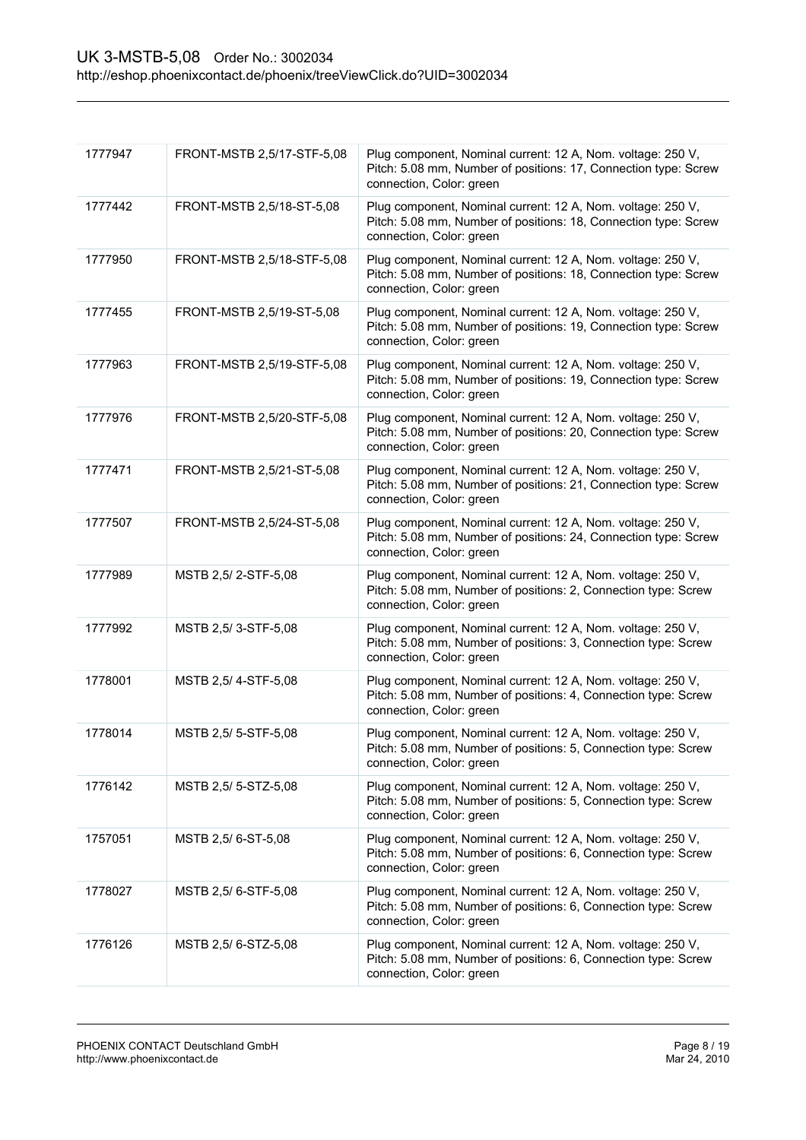| 1777947 | FRONT-MSTB 2,5/17-STF-5,08 | Plug component, Nominal current: 12 A, Nom. voltage: 250 V,<br>Pitch: 5.08 mm, Number of positions: 17, Connection type: Screw<br>connection, Color: green |
|---------|----------------------------|------------------------------------------------------------------------------------------------------------------------------------------------------------|
| 1777442 | FRONT-MSTB 2,5/18-ST-5,08  | Plug component, Nominal current: 12 A, Nom. voltage: 250 V,<br>Pitch: 5.08 mm, Number of positions: 18, Connection type: Screw<br>connection, Color: green |
| 1777950 | FRONT-MSTB 2,5/18-STF-5,08 | Plug component, Nominal current: 12 A, Nom. voltage: 250 V,<br>Pitch: 5.08 mm, Number of positions: 18, Connection type: Screw<br>connection, Color: green |
| 1777455 | FRONT-MSTB 2,5/19-ST-5,08  | Plug component, Nominal current: 12 A, Nom. voltage: 250 V,<br>Pitch: 5.08 mm, Number of positions: 19, Connection type: Screw<br>connection, Color: green |
| 1777963 | FRONT-MSTB 2,5/19-STF-5,08 | Plug component, Nominal current: 12 A, Nom. voltage: 250 V,<br>Pitch: 5.08 mm, Number of positions: 19, Connection type: Screw<br>connection, Color: green |
| 1777976 | FRONT-MSTB 2,5/20-STF-5,08 | Plug component, Nominal current: 12 A, Nom. voltage: 250 V,<br>Pitch: 5.08 mm, Number of positions: 20, Connection type: Screw<br>connection, Color: green |
| 1777471 | FRONT-MSTB 2,5/21-ST-5,08  | Plug component, Nominal current: 12 A, Nom. voltage: 250 V,<br>Pitch: 5.08 mm, Number of positions: 21, Connection type: Screw<br>connection, Color: green |
| 1777507 | FRONT-MSTB 2,5/24-ST-5,08  | Plug component, Nominal current: 12 A, Nom. voltage: 250 V,<br>Pitch: 5.08 mm, Number of positions: 24, Connection type: Screw<br>connection, Color: green |
| 1777989 | MSTB 2,5/2-STF-5,08        | Plug component, Nominal current: 12 A, Nom. voltage: 250 V,<br>Pitch: 5.08 mm, Number of positions: 2, Connection type: Screw<br>connection, Color: green  |
| 1777992 | MSTB 2,5/3-STF-5,08        | Plug component, Nominal current: 12 A, Nom. voltage: 250 V,<br>Pitch: 5.08 mm, Number of positions: 3, Connection type: Screw<br>connection, Color: green  |
| 1778001 | MSTB 2,5/4-STF-5,08        | Plug component, Nominal current: 12 A, Nom. voltage: 250 V,<br>Pitch: 5.08 mm, Number of positions: 4, Connection type: Screw<br>connection, Color: green  |
| 1778014 | MSTB 2,5/5-STF-5,08        | Plug component, Nominal current: 12 A, Nom. voltage: 250 V,<br>Pitch: 5.08 mm, Number of positions: 5, Connection type: Screw<br>connection, Color: green  |
| 1776142 | MSTB 2,5/5-STZ-5,08        | Plug component, Nominal current: 12 A, Nom. voltage: 250 V,<br>Pitch: 5.08 mm, Number of positions: 5, Connection type: Screw<br>connection, Color: green  |
| 1757051 | MSTB 2,5/6-ST-5,08         | Plug component, Nominal current: 12 A, Nom. voltage: 250 V,<br>Pitch: 5.08 mm, Number of positions: 6, Connection type: Screw<br>connection, Color: green  |
| 1778027 | MSTB 2,5/6-STF-5,08        | Plug component, Nominal current: 12 A, Nom. voltage: 250 V,<br>Pitch: 5.08 mm, Number of positions: 6, Connection type: Screw<br>connection, Color: green  |
| 1776126 | MSTB 2,5/ 6-STZ-5,08       | Plug component, Nominal current: 12 A, Nom. voltage: 250 V,<br>Pitch: 5.08 mm, Number of positions: 6, Connection type: Screw<br>connection, Color: green  |
|         |                            |                                                                                                                                                            |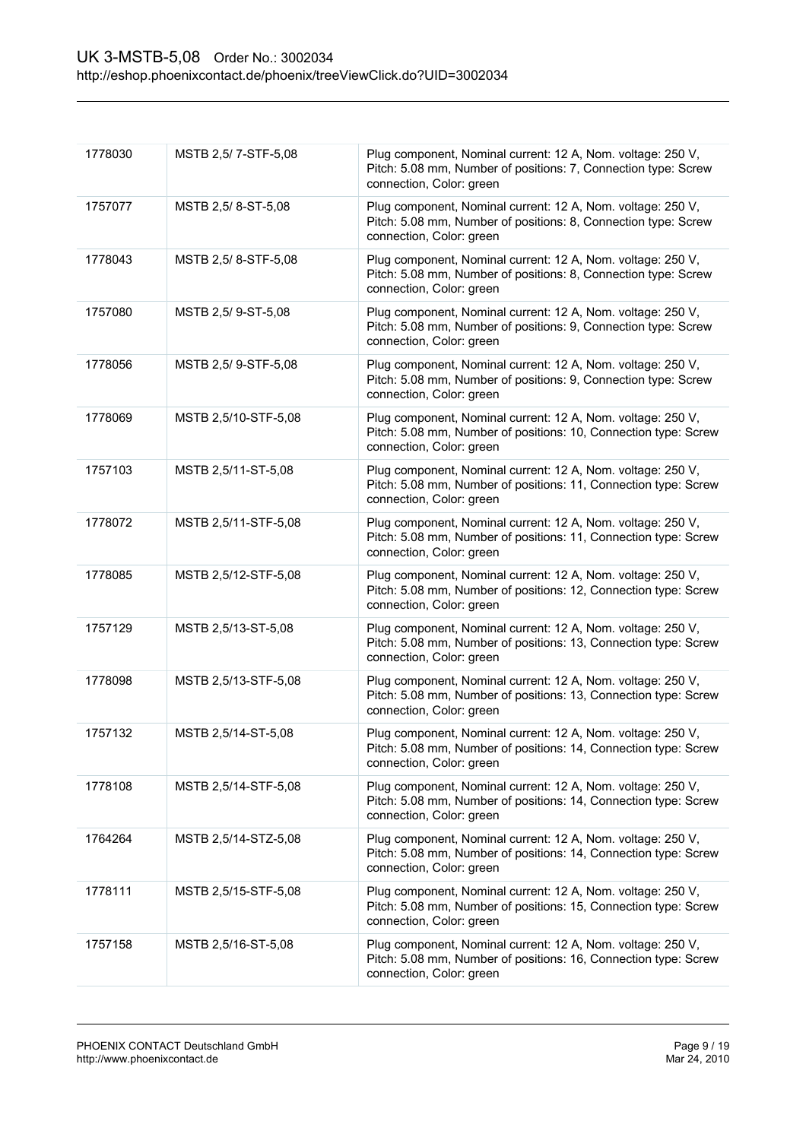| 1778030 | MSTB 2,5/7-STF-5,08  | Plug component, Nominal current: 12 A, Nom. voltage: 250 V,<br>Pitch: 5.08 mm, Number of positions: 7, Connection type: Screw<br>connection, Color: green  |
|---------|----------------------|------------------------------------------------------------------------------------------------------------------------------------------------------------|
| 1757077 | MSTB 2,5/8-ST-5,08   | Plug component, Nominal current: 12 A, Nom. voltage: 250 V,<br>Pitch: 5.08 mm, Number of positions: 8, Connection type: Screw<br>connection, Color: green  |
| 1778043 | MSTB 2,5/8-STF-5,08  | Plug component, Nominal current: 12 A, Nom. voltage: 250 V,<br>Pitch: 5.08 mm, Number of positions: 8, Connection type: Screw<br>connection, Color: green  |
| 1757080 | MSTB 2,5/9-ST-5,08   | Plug component, Nominal current: 12 A, Nom. voltage: 250 V,<br>Pitch: 5.08 mm, Number of positions: 9, Connection type: Screw<br>connection, Color: green  |
| 1778056 | MSTB 2,5/9-STF-5,08  | Plug component, Nominal current: 12 A, Nom. voltage: 250 V,<br>Pitch: 5.08 mm, Number of positions: 9, Connection type: Screw<br>connection, Color: green  |
| 1778069 | MSTB 2,5/10-STF-5,08 | Plug component, Nominal current: 12 A, Nom. voltage: 250 V,<br>Pitch: 5.08 mm, Number of positions: 10, Connection type: Screw<br>connection, Color: green |
| 1757103 | MSTB 2,5/11-ST-5,08  | Plug component, Nominal current: 12 A, Nom. voltage: 250 V,<br>Pitch: 5.08 mm, Number of positions: 11, Connection type: Screw<br>connection, Color: green |
| 1778072 | MSTB 2,5/11-STF-5,08 | Plug component, Nominal current: 12 A, Nom. voltage: 250 V,<br>Pitch: 5.08 mm, Number of positions: 11, Connection type: Screw<br>connection, Color: green |
| 1778085 | MSTB 2,5/12-STF-5,08 | Plug component, Nominal current: 12 A, Nom. voltage: 250 V,<br>Pitch: 5.08 mm, Number of positions: 12, Connection type: Screw<br>connection, Color: green |
| 1757129 | MSTB 2,5/13-ST-5,08  | Plug component, Nominal current: 12 A, Nom. voltage: 250 V,<br>Pitch: 5.08 mm, Number of positions: 13, Connection type: Screw<br>connection, Color: green |
| 1778098 | MSTB 2,5/13-STF-5,08 | Plug component, Nominal current: 12 A, Nom. voltage: 250 V,<br>Pitch: 5.08 mm, Number of positions: 13, Connection type: Screw<br>connection, Color: green |
| 1757132 | MSTB 2,5/14-ST-5,08  | Plug component, Nominal current: 12 A, Nom. voltage: 250 V,<br>Pitch: 5.08 mm, Number of positions: 14, Connection type: Screw<br>connection, Color: green |
| 1778108 | MSTB 2,5/14-STF-5,08 | Plug component, Nominal current: 12 A, Nom. voltage: 250 V,<br>Pitch: 5.08 mm, Number of positions: 14, Connection type: Screw<br>connection, Color: green |
| 1764264 | MSTB 2,5/14-STZ-5,08 | Plug component, Nominal current: 12 A, Nom. voltage: 250 V,<br>Pitch: 5.08 mm, Number of positions: 14, Connection type: Screw<br>connection, Color: green |
| 1778111 | MSTB 2,5/15-STF-5,08 | Plug component, Nominal current: 12 A, Nom. voltage: 250 V,<br>Pitch: 5.08 mm, Number of positions: 15, Connection type: Screw<br>connection, Color: green |
| 1757158 | MSTB 2,5/16-ST-5,08  | Plug component, Nominal current: 12 A, Nom. voltage: 250 V,<br>Pitch: 5.08 mm, Number of positions: 16, Connection type: Screw<br>connection, Color: green |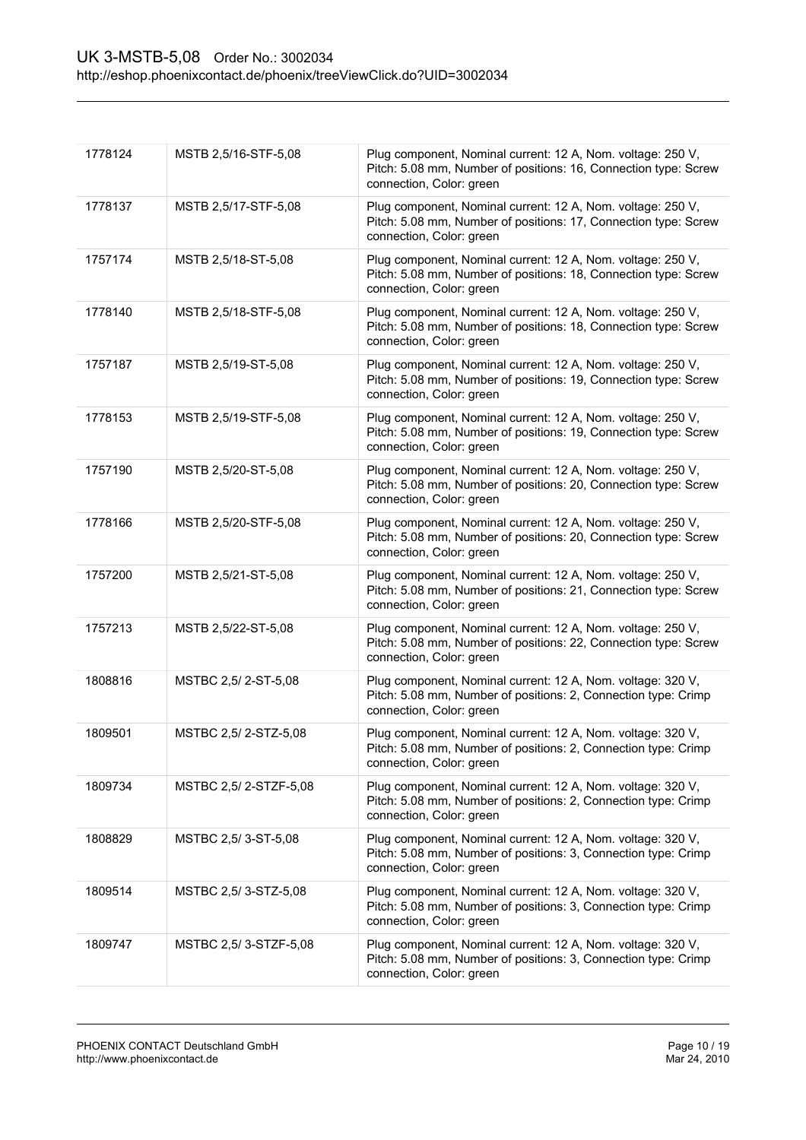| 1778124 | MSTB 2,5/16-STF-5,08  | Plug component, Nominal current: 12 A, Nom. voltage: 250 V,<br>Pitch: 5.08 mm, Number of positions: 16, Connection type: Screw<br>connection, Color: green |
|---------|-----------------------|------------------------------------------------------------------------------------------------------------------------------------------------------------|
| 1778137 | MSTB 2,5/17-STF-5,08  | Plug component, Nominal current: 12 A, Nom. voltage: 250 V,<br>Pitch: 5.08 mm, Number of positions: 17, Connection type: Screw<br>connection, Color: green |
| 1757174 | MSTB 2,5/18-ST-5,08   | Plug component, Nominal current: 12 A, Nom. voltage: 250 V,<br>Pitch: 5.08 mm, Number of positions: 18, Connection type: Screw<br>connection, Color: green |
| 1778140 | MSTB 2,5/18-STF-5,08  | Plug component, Nominal current: 12 A, Nom. voltage: 250 V,<br>Pitch: 5.08 mm, Number of positions: 18, Connection type: Screw<br>connection, Color: green |
| 1757187 | MSTB 2,5/19-ST-5,08   | Plug component, Nominal current: 12 A, Nom. voltage: 250 V,<br>Pitch: 5.08 mm, Number of positions: 19, Connection type: Screw<br>connection, Color: green |
| 1778153 | MSTB 2,5/19-STF-5,08  | Plug component, Nominal current: 12 A, Nom. voltage: 250 V,<br>Pitch: 5.08 mm, Number of positions: 19, Connection type: Screw<br>connection, Color: green |
| 1757190 | MSTB 2,5/20-ST-5,08   | Plug component, Nominal current: 12 A, Nom. voltage: 250 V,<br>Pitch: 5.08 mm, Number of positions: 20, Connection type: Screw<br>connection, Color: green |
| 1778166 | MSTB 2,5/20-STF-5,08  | Plug component, Nominal current: 12 A, Nom. voltage: 250 V,<br>Pitch: 5.08 mm, Number of positions: 20, Connection type: Screw<br>connection, Color: green |
| 1757200 | MSTB 2,5/21-ST-5,08   | Plug component, Nominal current: 12 A, Nom. voltage: 250 V,<br>Pitch: 5.08 mm, Number of positions: 21, Connection type: Screw<br>connection, Color: green |
| 1757213 | MSTB 2,5/22-ST-5,08   | Plug component, Nominal current: 12 A, Nom. voltage: 250 V,<br>Pitch: 5.08 mm, Number of positions: 22, Connection type: Screw<br>connection, Color: green |
| 1808816 | MSTBC 2,5/2-ST-5,08   | Plug component, Nominal current: 12 A, Nom. voltage: 320 V,<br>Pitch: 5.08 mm, Number of positions: 2, Connection type: Crimp<br>connection, Color: green  |
| 1809501 | MSTBC 2,5/2-STZ-5,08  | Plug component, Nominal current: 12 A, Nom. voltage: 320 V,<br>Pitch: 5.08 mm, Number of positions: 2, Connection type: Crimp<br>connection, Color: green  |
| 1809734 | MSTBC 2,5/2-STZF-5,08 | Plug component, Nominal current: 12 A, Nom. voltage: 320 V,<br>Pitch: 5.08 mm, Number of positions: 2, Connection type: Crimp<br>connection, Color: green  |
| 1808829 | MSTBC 2,5/3-ST-5,08   | Plug component, Nominal current: 12 A, Nom. voltage: 320 V,<br>Pitch: 5.08 mm, Number of positions: 3, Connection type: Crimp<br>connection, Color: green  |
| 1809514 | MSTBC 2,5/3-STZ-5,08  | Plug component, Nominal current: 12 A, Nom. voltage: 320 V,<br>Pitch: 5.08 mm, Number of positions: 3, Connection type: Crimp<br>connection, Color: green  |
| 1809747 | MSTBC 2,5/3-STZF-5,08 | Plug component, Nominal current: 12 A, Nom. voltage: 320 V,<br>Pitch: 5.08 mm, Number of positions: 3, Connection type: Crimp<br>connection, Color: green  |
|         |                       |                                                                                                                                                            |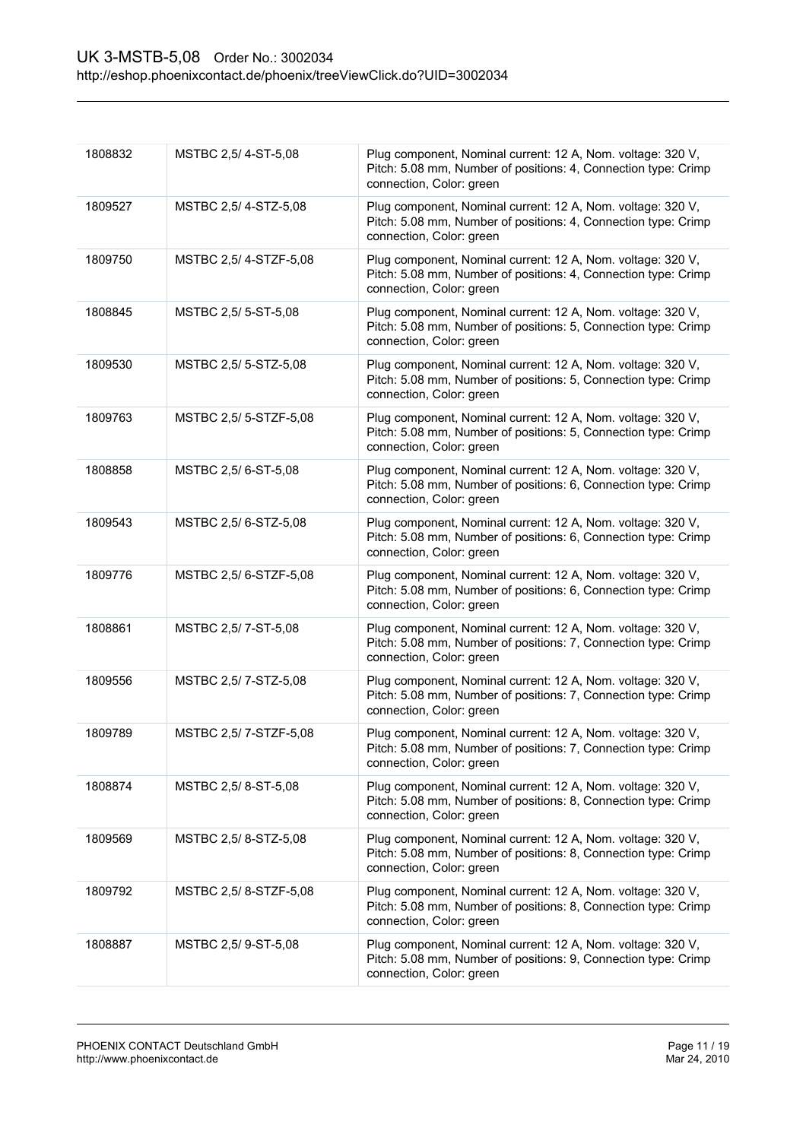| 1808832 | MSTBC 2,5/4-ST-5,08    | Plug component, Nominal current: 12 A, Nom. voltage: 320 V,<br>Pitch: 5.08 mm, Number of positions: 4, Connection type: Crimp<br>connection, Color: green |
|---------|------------------------|-----------------------------------------------------------------------------------------------------------------------------------------------------------|
| 1809527 | MSTBC 2,5/4-STZ-5,08   | Plug component, Nominal current: 12 A, Nom. voltage: 320 V,<br>Pitch: 5.08 mm, Number of positions: 4, Connection type: Crimp<br>connection, Color: green |
| 1809750 | MSTBC 2,5/4-STZF-5,08  | Plug component, Nominal current: 12 A, Nom. voltage: 320 V,<br>Pitch: 5.08 mm, Number of positions: 4, Connection type: Crimp<br>connection, Color: green |
| 1808845 | MSTBC 2,5/ 5-ST-5,08   | Plug component, Nominal current: 12 A, Nom. voltage: 320 V,<br>Pitch: 5.08 mm, Number of positions: 5, Connection type: Crimp<br>connection, Color: green |
| 1809530 | MSTBC 2,5/ 5-STZ-5,08  | Plug component, Nominal current: 12 A, Nom. voltage: 320 V,<br>Pitch: 5.08 mm, Number of positions: 5, Connection type: Crimp<br>connection, Color: green |
| 1809763 | MSTBC 2,5/ 5-STZF-5,08 | Plug component, Nominal current: 12 A, Nom. voltage: 320 V,<br>Pitch: 5.08 mm, Number of positions: 5, Connection type: Crimp<br>connection, Color: green |
| 1808858 | MSTBC 2,5/6-ST-5,08    | Plug component, Nominal current: 12 A, Nom. voltage: 320 V,<br>Pitch: 5.08 mm, Number of positions: 6, Connection type: Crimp<br>connection, Color: green |
| 1809543 | MSTBC 2,5/6-STZ-5,08   | Plug component, Nominal current: 12 A, Nom. voltage: 320 V,<br>Pitch: 5.08 mm, Number of positions: 6, Connection type: Crimp<br>connection, Color: green |
| 1809776 | MSTBC 2,5/6-STZF-5,08  | Plug component, Nominal current: 12 A, Nom. voltage: 320 V,<br>Pitch: 5.08 mm, Number of positions: 6, Connection type: Crimp<br>connection, Color: green |
| 1808861 | MSTBC 2,5/7-ST-5,08    | Plug component, Nominal current: 12 A, Nom. voltage: 320 V,<br>Pitch: 5.08 mm, Number of positions: 7, Connection type: Crimp<br>connection, Color: green |
| 1809556 | MSTBC 2,5/7-STZ-5,08   | Plug component, Nominal current: 12 A, Nom. voltage: 320 V,<br>Pitch: 5.08 mm, Number of positions: 7, Connection type: Crimp<br>connection, Color: green |
| 1809789 | MSTBC 2,5/7-STZF-5,08  | Plug component, Nominal current: 12 A, Nom. voltage: 320 V,<br>Pitch: 5.08 mm, Number of positions: 7, Connection type: Crimp<br>connection, Color: green |
| 1808874 | MSTBC 2,5/8-ST-5,08    | Plug component, Nominal current: 12 A, Nom. voltage: 320 V,<br>Pitch: 5.08 mm, Number of positions: 8, Connection type: Crimp<br>connection, Color: green |
| 1809569 | MSTBC 2,5/8-STZ-5,08   | Plug component, Nominal current: 12 A, Nom. voltage: 320 V,<br>Pitch: 5.08 mm, Number of positions: 8, Connection type: Crimp<br>connection, Color: green |
| 1809792 | MSTBC 2,5/8-STZF-5,08  | Plug component, Nominal current: 12 A, Nom. voltage: 320 V,<br>Pitch: 5.08 mm, Number of positions: 8, Connection type: Crimp<br>connection, Color: green |
| 1808887 | MSTBC 2,5/9-ST-5,08    | Plug component, Nominal current: 12 A, Nom. voltage: 320 V,<br>Pitch: 5.08 mm, Number of positions: 9, Connection type: Crimp<br>connection, Color: green |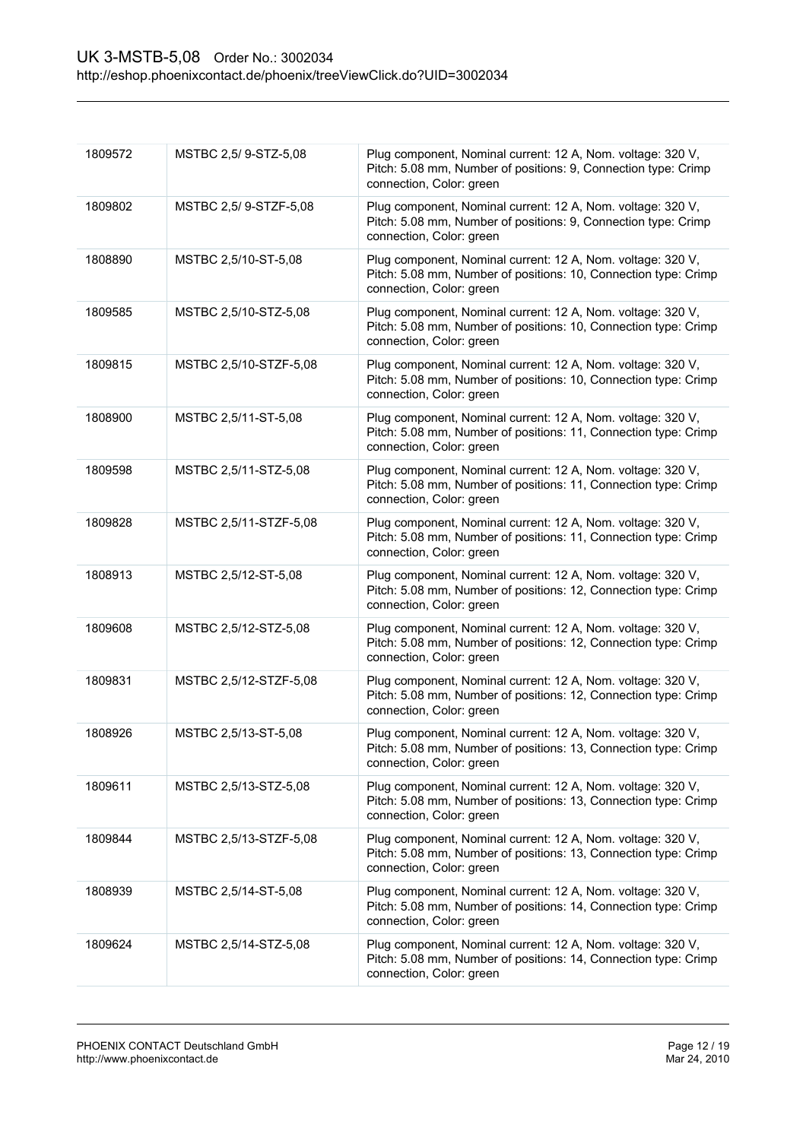| 1809572 | MSTBC 2,5/9-STZ-5,08   | Plug component, Nominal current: 12 A, Nom. voltage: 320 V,<br>Pitch: 5.08 mm, Number of positions: 9, Connection type: Crimp<br>connection, Color: green  |
|---------|------------------------|------------------------------------------------------------------------------------------------------------------------------------------------------------|
| 1809802 | MSTBC 2,5/9-STZF-5,08  | Plug component, Nominal current: 12 A, Nom. voltage: 320 V,<br>Pitch: 5.08 mm, Number of positions: 9, Connection type: Crimp<br>connection, Color: green  |
| 1808890 | MSTBC 2,5/10-ST-5,08   | Plug component, Nominal current: 12 A, Nom. voltage: 320 V,<br>Pitch: 5.08 mm, Number of positions: 10, Connection type: Crimp<br>connection, Color: green |
| 1809585 | MSTBC 2,5/10-STZ-5,08  | Plug component, Nominal current: 12 A, Nom. voltage: 320 V,<br>Pitch: 5.08 mm, Number of positions: 10, Connection type: Crimp<br>connection, Color: green |
| 1809815 | MSTBC 2,5/10-STZF-5,08 | Plug component, Nominal current: 12 A, Nom. voltage: 320 V,<br>Pitch: 5.08 mm, Number of positions: 10, Connection type: Crimp<br>connection, Color: green |
| 1808900 | MSTBC 2,5/11-ST-5,08   | Plug component, Nominal current: 12 A, Nom. voltage: 320 V,<br>Pitch: 5.08 mm, Number of positions: 11, Connection type: Crimp<br>connection, Color: green |
| 1809598 | MSTBC 2,5/11-STZ-5,08  | Plug component, Nominal current: 12 A, Nom. voltage: 320 V,<br>Pitch: 5.08 mm, Number of positions: 11, Connection type: Crimp<br>connection, Color: green |
| 1809828 | MSTBC 2,5/11-STZF-5,08 | Plug component, Nominal current: 12 A, Nom. voltage: 320 V,<br>Pitch: 5.08 mm, Number of positions: 11, Connection type: Crimp<br>connection, Color: green |
| 1808913 | MSTBC 2,5/12-ST-5,08   | Plug component, Nominal current: 12 A, Nom. voltage: 320 V,<br>Pitch: 5.08 mm, Number of positions: 12, Connection type: Crimp<br>connection, Color: green |
| 1809608 | MSTBC 2,5/12-STZ-5,08  | Plug component, Nominal current: 12 A, Nom. voltage: 320 V,<br>Pitch: 5.08 mm, Number of positions: 12, Connection type: Crimp<br>connection, Color: green |
| 1809831 | MSTBC 2,5/12-STZF-5,08 | Plug component, Nominal current: 12 A, Nom. voltage: 320 V,<br>Pitch: 5.08 mm, Number of positions: 12, Connection type: Crimp<br>connection, Color: green |
| 1808926 | MSTBC 2,5/13-ST-5,08   | Plug component, Nominal current: 12 A, Nom. voltage: 320 V,<br>Pitch: 5.08 mm, Number of positions: 13, Connection type: Crimp<br>connection, Color: green |
| 1809611 | MSTBC 2,5/13-STZ-5,08  | Plug component, Nominal current: 12 A, Nom. voltage: 320 V,<br>Pitch: 5.08 mm, Number of positions: 13, Connection type: Crimp<br>connection, Color: green |
| 1809844 | MSTBC 2,5/13-STZF-5,08 | Plug component, Nominal current: 12 A, Nom. voltage: 320 V,<br>Pitch: 5.08 mm, Number of positions: 13, Connection type: Crimp<br>connection, Color: green |
| 1808939 | MSTBC 2,5/14-ST-5,08   | Plug component, Nominal current: 12 A, Nom. voltage: 320 V,<br>Pitch: 5.08 mm, Number of positions: 14, Connection type: Crimp<br>connection, Color: green |
| 1809624 | MSTBC 2,5/14-STZ-5,08  | Plug component, Nominal current: 12 A, Nom. voltage: 320 V,<br>Pitch: 5.08 mm, Number of positions: 14, Connection type: Crimp<br>connection, Color: green |
|         |                        |                                                                                                                                                            |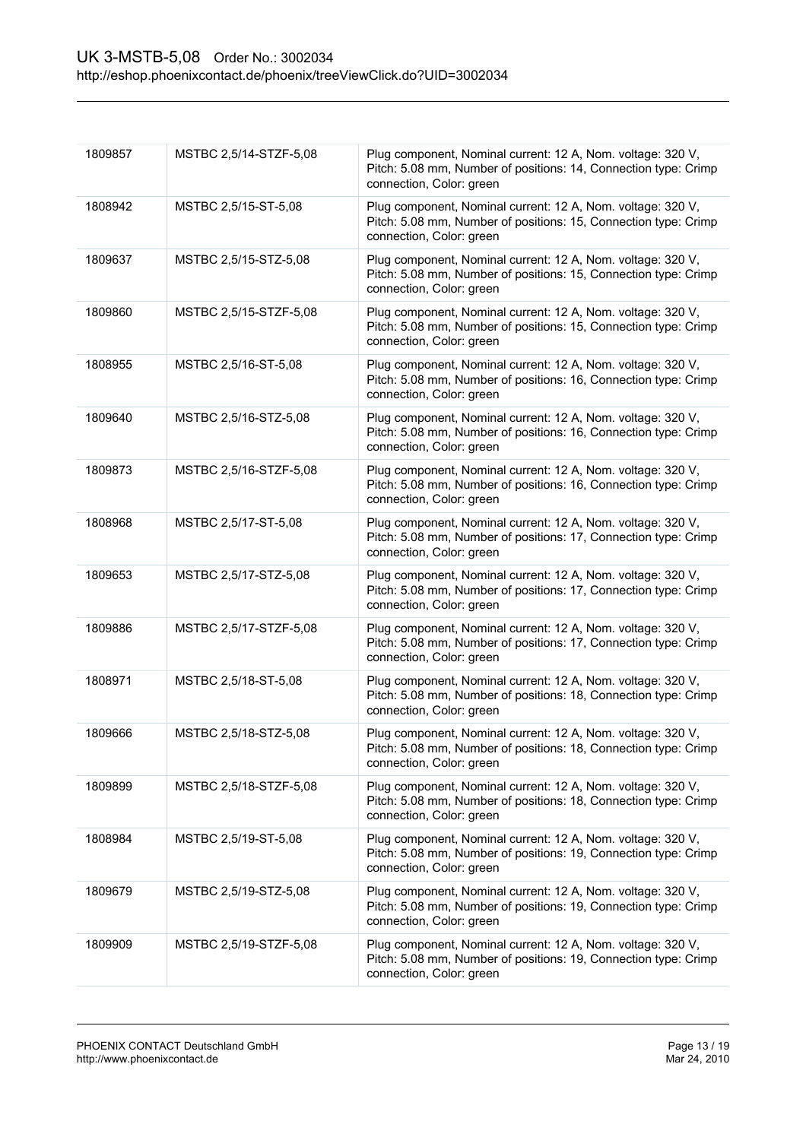| 1809857 | MSTBC 2,5/14-STZF-5,08 | Plug component, Nominal current: 12 A, Nom. voltage: 320 V,<br>Pitch: 5.08 mm, Number of positions: 14, Connection type: Crimp<br>connection, Color: green |
|---------|------------------------|------------------------------------------------------------------------------------------------------------------------------------------------------------|
| 1808942 | MSTBC 2,5/15-ST-5,08   | Plug component, Nominal current: 12 A, Nom. voltage: 320 V,<br>Pitch: 5.08 mm, Number of positions: 15, Connection type: Crimp<br>connection, Color: green |
| 1809637 | MSTBC 2,5/15-STZ-5,08  | Plug component, Nominal current: 12 A, Nom. voltage: 320 V,<br>Pitch: 5.08 mm, Number of positions: 15, Connection type: Crimp<br>connection, Color: green |
| 1809860 | MSTBC 2,5/15-STZF-5,08 | Plug component, Nominal current: 12 A, Nom. voltage: 320 V,<br>Pitch: 5.08 mm, Number of positions: 15, Connection type: Crimp<br>connection, Color: green |
| 1808955 | MSTBC 2,5/16-ST-5,08   | Plug component, Nominal current: 12 A, Nom. voltage: 320 V,<br>Pitch: 5.08 mm, Number of positions: 16, Connection type: Crimp<br>connection, Color: green |
| 1809640 | MSTBC 2,5/16-STZ-5,08  | Plug component, Nominal current: 12 A, Nom. voltage: 320 V,<br>Pitch: 5.08 mm, Number of positions: 16, Connection type: Crimp<br>connection, Color: green |
| 1809873 | MSTBC 2,5/16-STZF-5,08 | Plug component, Nominal current: 12 A, Nom. voltage: 320 V,<br>Pitch: 5.08 mm, Number of positions: 16, Connection type: Crimp<br>connection, Color: green |
| 1808968 | MSTBC 2,5/17-ST-5,08   | Plug component, Nominal current: 12 A, Nom. voltage: 320 V,<br>Pitch: 5.08 mm, Number of positions: 17, Connection type: Crimp<br>connection, Color: green |
| 1809653 | MSTBC 2,5/17-STZ-5,08  | Plug component, Nominal current: 12 A, Nom. voltage: 320 V,<br>Pitch: 5.08 mm, Number of positions: 17, Connection type: Crimp<br>connection, Color: green |
| 1809886 | MSTBC 2,5/17-STZF-5,08 | Plug component, Nominal current: 12 A, Nom. voltage: 320 V,<br>Pitch: 5.08 mm, Number of positions: 17, Connection type: Crimp<br>connection, Color: green |
| 1808971 | MSTBC 2,5/18-ST-5,08   | Plug component, Nominal current: 12 A, Nom. voltage: 320 V,<br>Pitch: 5.08 mm, Number of positions: 18, Connection type: Crimp<br>connection, Color: green |
| 1809666 | MSTBC 2,5/18-STZ-5,08  | Plug component, Nominal current: 12 A, Nom. voltage: 320 V,<br>Pitch: 5.08 mm, Number of positions: 18, Connection type: Crimp<br>connection, Color: green |
| 1809899 | MSTBC 2,5/18-STZF-5,08 | Plug component, Nominal current: 12 A, Nom. voltage: 320 V,<br>Pitch: 5.08 mm, Number of positions: 18, Connection type: Crimp<br>connection, Color: green |
| 1808984 | MSTBC 2,5/19-ST-5,08   | Plug component, Nominal current: 12 A, Nom. voltage: 320 V,<br>Pitch: 5.08 mm, Number of positions: 19, Connection type: Crimp<br>connection, Color: green |
| 1809679 | MSTBC 2,5/19-STZ-5,08  | Plug component, Nominal current: 12 A, Nom. voltage: 320 V,<br>Pitch: 5.08 mm, Number of positions: 19, Connection type: Crimp<br>connection, Color: green |
| 1809909 | MSTBC 2,5/19-STZF-5,08 | Plug component, Nominal current: 12 A, Nom. voltage: 320 V,<br>Pitch: 5.08 mm, Number of positions: 19, Connection type: Crimp<br>connection, Color: green |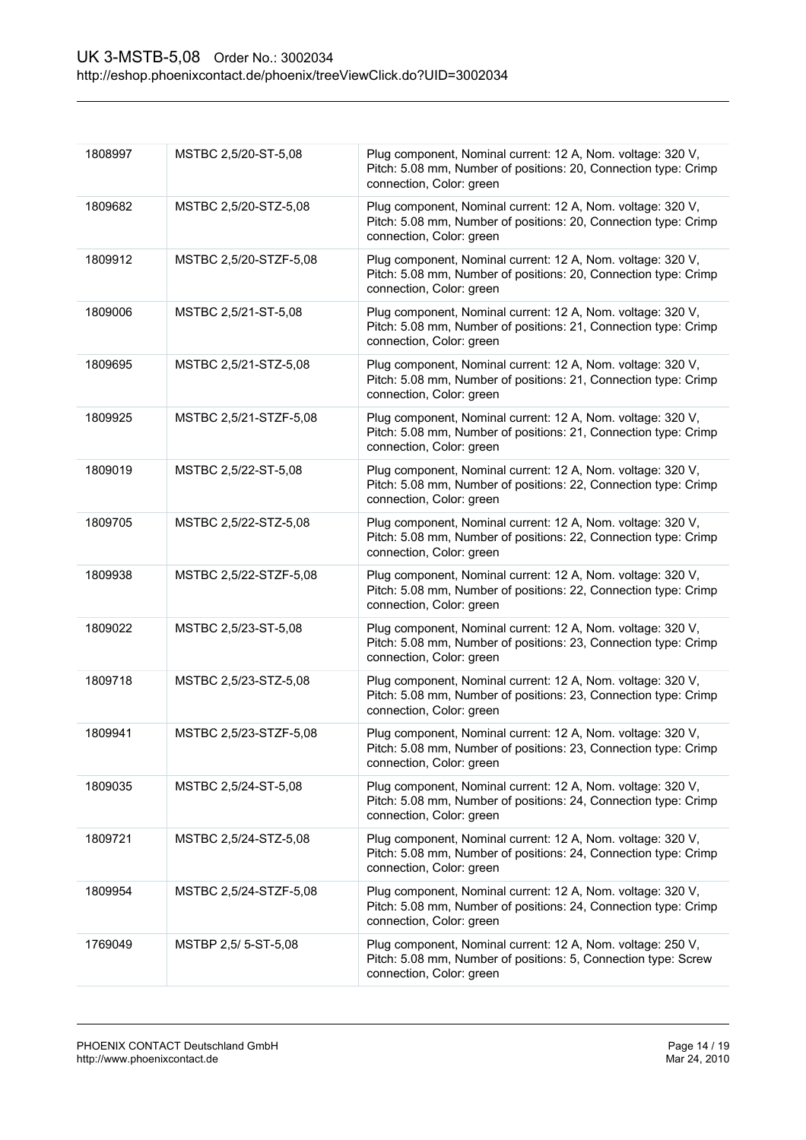| 1808997 | MSTBC 2,5/20-ST-5,08   | Plug component, Nominal current: 12 A, Nom. voltage: 320 V,<br>Pitch: 5.08 mm, Number of positions: 20, Connection type: Crimp<br>connection, Color: green |
|---------|------------------------|------------------------------------------------------------------------------------------------------------------------------------------------------------|
| 1809682 | MSTBC 2,5/20-STZ-5,08  | Plug component, Nominal current: 12 A, Nom. voltage: 320 V,<br>Pitch: 5.08 mm, Number of positions: 20, Connection type: Crimp<br>connection, Color: green |
| 1809912 | MSTBC 2,5/20-STZF-5,08 | Plug component, Nominal current: 12 A, Nom. voltage: 320 V,<br>Pitch: 5.08 mm, Number of positions: 20, Connection type: Crimp<br>connection, Color: green |
| 1809006 | MSTBC 2,5/21-ST-5,08   | Plug component, Nominal current: 12 A, Nom. voltage: 320 V,<br>Pitch: 5.08 mm, Number of positions: 21, Connection type: Crimp<br>connection, Color: green |
| 1809695 | MSTBC 2,5/21-STZ-5,08  | Plug component, Nominal current: 12 A, Nom. voltage: 320 V,<br>Pitch: 5.08 mm, Number of positions: 21, Connection type: Crimp<br>connection, Color: green |
| 1809925 | MSTBC 2,5/21-STZF-5,08 | Plug component, Nominal current: 12 A, Nom. voltage: 320 V,<br>Pitch: 5.08 mm, Number of positions: 21, Connection type: Crimp<br>connection, Color: green |
| 1809019 | MSTBC 2,5/22-ST-5,08   | Plug component, Nominal current: 12 A, Nom. voltage: 320 V,<br>Pitch: 5.08 mm, Number of positions: 22, Connection type: Crimp<br>connection, Color: green |
| 1809705 | MSTBC 2,5/22-STZ-5,08  | Plug component, Nominal current: 12 A, Nom. voltage: 320 V,<br>Pitch: 5.08 mm, Number of positions: 22, Connection type: Crimp<br>connection, Color: green |
| 1809938 | MSTBC 2,5/22-STZF-5,08 | Plug component, Nominal current: 12 A, Nom. voltage: 320 V,<br>Pitch: 5.08 mm, Number of positions: 22, Connection type: Crimp<br>connection, Color: green |
| 1809022 | MSTBC 2,5/23-ST-5,08   | Plug component, Nominal current: 12 A, Nom. voltage: 320 V,<br>Pitch: 5.08 mm, Number of positions: 23, Connection type: Crimp<br>connection, Color: green |
| 1809718 | MSTBC 2,5/23-STZ-5,08  | Plug component, Nominal current: 12 A, Nom. voltage: 320 V,<br>Pitch: 5.08 mm, Number of positions: 23, Connection type: Crimp<br>connection, Color: green |
| 1809941 | MSTBC 2,5/23-STZF-5,08 | Plug component, Nominal current: 12 A, Nom. voltage: 320 V,<br>Pitch: 5.08 mm, Number of positions: 23, Connection type: Crimp<br>connection, Color: green |
| 1809035 | MSTBC 2,5/24-ST-5,08   | Plug component, Nominal current: 12 A, Nom. voltage: 320 V,<br>Pitch: 5.08 mm, Number of positions: 24, Connection type: Crimp<br>connection, Color: green |
| 1809721 | MSTBC 2,5/24-STZ-5,08  | Plug component, Nominal current: 12 A, Nom. voltage: 320 V,<br>Pitch: 5.08 mm, Number of positions: 24, Connection type: Crimp<br>connection, Color: green |
| 1809954 | MSTBC 2,5/24-STZF-5,08 | Plug component, Nominal current: 12 A, Nom. voltage: 320 V,<br>Pitch: 5.08 mm, Number of positions: 24, Connection type: Crimp<br>connection, Color: green |
| 1769049 | MSTBP 2,5/ 5-ST-5,08   | Plug component, Nominal current: 12 A, Nom. voltage: 250 V,<br>Pitch: 5.08 mm, Number of positions: 5, Connection type: Screw<br>connection, Color: green  |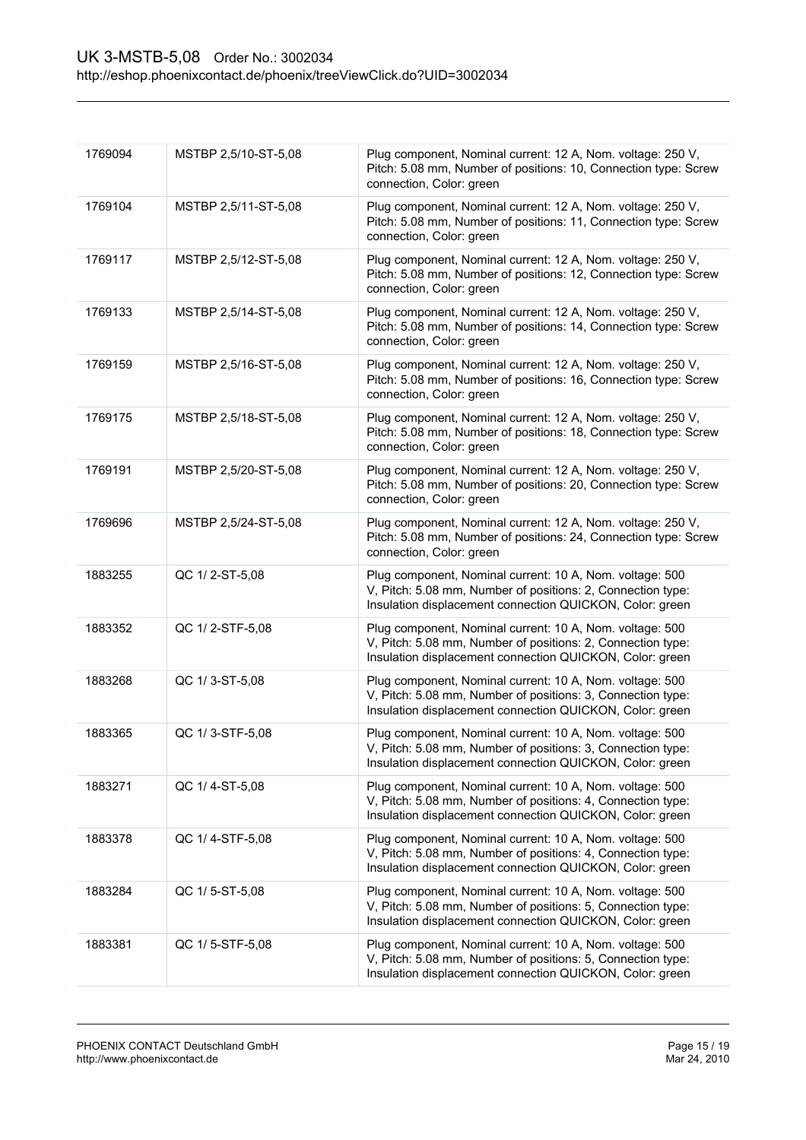| 1769094 | MSTBP 2,5/10-ST-5,08 | Plug component, Nominal current: 12 A, Nom. voltage: 250 V,<br>Pitch: 5.08 mm, Number of positions: 10, Connection type: Screw<br>connection, Color: green                          |
|---------|----------------------|-------------------------------------------------------------------------------------------------------------------------------------------------------------------------------------|
| 1769104 | MSTBP 2,5/11-ST-5,08 | Plug component, Nominal current: 12 A, Nom. voltage: 250 V,<br>Pitch: 5.08 mm, Number of positions: 11, Connection type: Screw<br>connection, Color: green                          |
| 1769117 | MSTBP 2,5/12-ST-5,08 | Plug component, Nominal current: 12 A, Nom. voltage: 250 V,<br>Pitch: 5.08 mm, Number of positions: 12, Connection type: Screw<br>connection, Color: green                          |
| 1769133 | MSTBP 2,5/14-ST-5,08 | Plug component, Nominal current: 12 A, Nom. voltage: 250 V,<br>Pitch: 5.08 mm, Number of positions: 14, Connection type: Screw<br>connection, Color: green                          |
| 1769159 | MSTBP 2,5/16-ST-5,08 | Plug component, Nominal current: 12 A, Nom. voltage: 250 V,<br>Pitch: 5.08 mm, Number of positions: 16, Connection type: Screw<br>connection, Color: green                          |
| 1769175 | MSTBP 2,5/18-ST-5,08 | Plug component, Nominal current: 12 A, Nom. voltage: 250 V,<br>Pitch: 5.08 mm, Number of positions: 18, Connection type: Screw<br>connection, Color: green                          |
| 1769191 | MSTBP 2,5/20-ST-5,08 | Plug component, Nominal current: 12 A, Nom. voltage: 250 V,<br>Pitch: 5.08 mm, Number of positions: 20, Connection type: Screw<br>connection, Color: green                          |
| 1769696 | MSTBP 2,5/24-ST-5,08 | Plug component, Nominal current: 12 A, Nom. voltage: 250 V,<br>Pitch: 5.08 mm, Number of positions: 24, Connection type: Screw<br>connection, Color: green                          |
| 1883255 | QC 1/2-ST-5,08       | Plug component, Nominal current: 10 A, Nom. voltage: 500<br>V, Pitch: 5.08 mm, Number of positions: 2, Connection type:<br>Insulation displacement connection QUICKON, Color: green |
| 1883352 | QC 1/2-STF-5,08      | Plug component, Nominal current: 10 A, Nom. voltage: 500<br>V, Pitch: 5.08 mm, Number of positions: 2, Connection type:<br>Insulation displacement connection QUICKON, Color: green |
| 1883268 | QC 1/3-ST-5,08       | Plug component, Nominal current: 10 A, Nom. voltage: 500<br>V, Pitch: 5.08 mm, Number of positions: 3, Connection type:<br>Insulation displacement connection QUICKON, Color: green |
| 1883365 | QC 1/3-STF-5,08      | Plug component, Nominal current: 10 A, Nom. voltage: 500<br>V, Pitch: 5.08 mm, Number of positions: 3, Connection type:<br>Insulation displacement connection QUICKON, Color: green |
| 1883271 | QC 1/4-ST-5,08       | Plug component, Nominal current: 10 A, Nom. voltage: 500<br>V, Pitch: 5.08 mm, Number of positions: 4, Connection type:<br>Insulation displacement connection QUICKON, Color: green |
| 1883378 | QC 1/4-STF-5,08      | Plug component, Nominal current: 10 A, Nom. voltage: 500<br>V, Pitch: 5.08 mm, Number of positions: 4, Connection type:<br>Insulation displacement connection QUICKON, Color: green |
| 1883284 | QC 1/5-ST-5,08       | Plug component, Nominal current: 10 A, Nom. voltage: 500<br>V, Pitch: 5.08 mm, Number of positions: 5, Connection type:<br>Insulation displacement connection QUICKON, Color: green |
| 1883381 | QC 1/5-STF-5,08      | Plug component, Nominal current: 10 A, Nom. voltage: 500<br>V, Pitch: 5.08 mm, Number of positions: 5, Connection type:<br>Insulation displacement connection QUICKON, Color: green |
|         |                      |                                                                                                                                                                                     |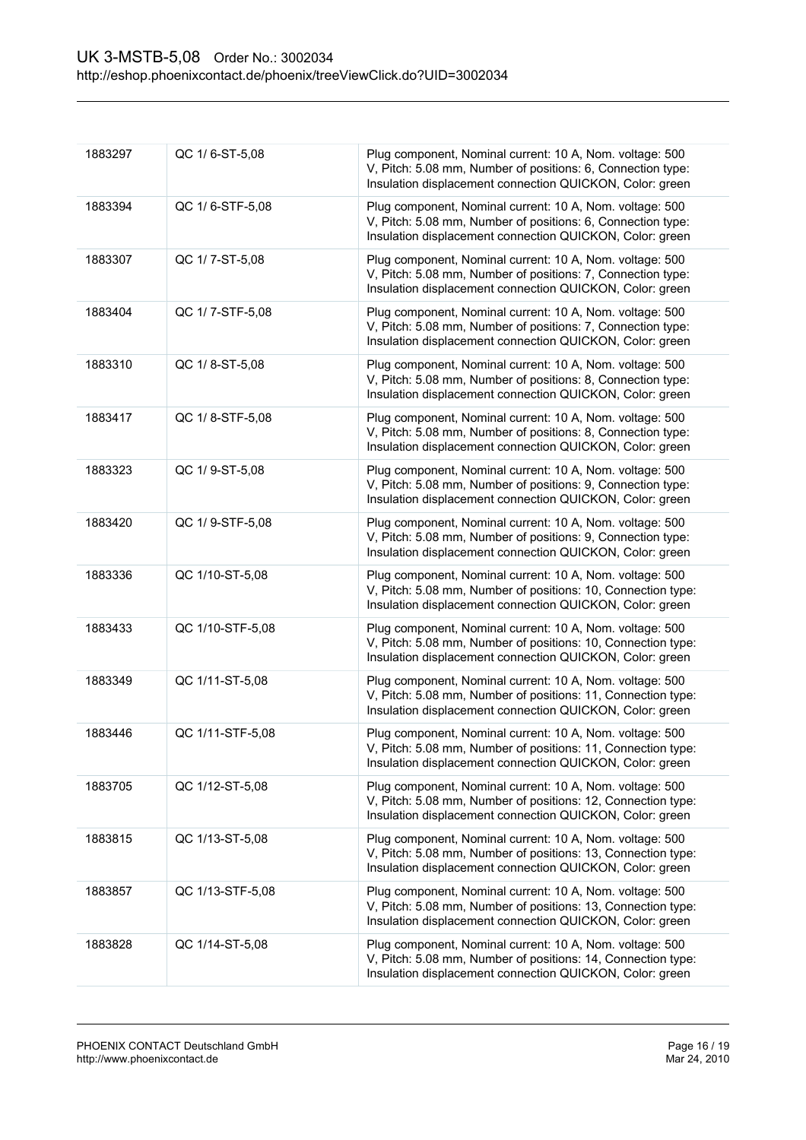| 1883297 | QC 1/6-ST-5,08   | Plug component, Nominal current: 10 A, Nom. voltage: 500<br>V, Pitch: 5.08 mm, Number of positions: 6, Connection type:<br>Insulation displacement connection QUICKON, Color: green  |
|---------|------------------|--------------------------------------------------------------------------------------------------------------------------------------------------------------------------------------|
| 1883394 | QC 1/6-STF-5,08  | Plug component, Nominal current: 10 A, Nom. voltage: 500<br>V, Pitch: 5.08 mm, Number of positions: 6, Connection type:<br>Insulation displacement connection QUICKON, Color: green  |
| 1883307 | QC 1/7-ST-5,08   | Plug component, Nominal current: 10 A, Nom. voltage: 500<br>V, Pitch: 5.08 mm, Number of positions: 7, Connection type:<br>Insulation displacement connection QUICKON, Color: green  |
| 1883404 | QC 1/7-STF-5,08  | Plug component, Nominal current: 10 A, Nom. voltage: 500<br>V, Pitch: 5.08 mm, Number of positions: 7, Connection type:<br>Insulation displacement connection QUICKON, Color: green  |
| 1883310 | QC 1/8-ST-5,08   | Plug component, Nominal current: 10 A, Nom. voltage: 500<br>V, Pitch: 5.08 mm, Number of positions: 8, Connection type:<br>Insulation displacement connection QUICKON, Color: green  |
| 1883417 | QC 1/8-STF-5,08  | Plug component, Nominal current: 10 A, Nom. voltage: 500<br>V, Pitch: 5.08 mm, Number of positions: 8, Connection type:<br>Insulation displacement connection QUICKON, Color: green  |
| 1883323 | QC 1/9-ST-5,08   | Plug component, Nominal current: 10 A, Nom. voltage: 500<br>V, Pitch: 5.08 mm, Number of positions: 9, Connection type:<br>Insulation displacement connection QUICKON, Color: green  |
| 1883420 | QC 1/9-STF-5,08  | Plug component, Nominal current: 10 A, Nom. voltage: 500<br>V, Pitch: 5.08 mm, Number of positions: 9, Connection type:<br>Insulation displacement connection QUICKON, Color: green  |
| 1883336 | QC 1/10-ST-5,08  | Plug component, Nominal current: 10 A, Nom. voltage: 500<br>V, Pitch: 5.08 mm, Number of positions: 10, Connection type:<br>Insulation displacement connection QUICKON, Color: green |
| 1883433 | QC 1/10-STF-5,08 | Plug component, Nominal current: 10 A, Nom. voltage: 500<br>V, Pitch: 5.08 mm, Number of positions: 10, Connection type:<br>Insulation displacement connection QUICKON, Color: green |
| 1883349 | QC 1/11-ST-5,08  | Plug component, Nominal current: 10 A, Nom. voltage: 500<br>V, Pitch: 5.08 mm, Number of positions: 11, Connection type:<br>Insulation displacement connection QUICKON, Color: green |
| 1883446 | QC 1/11-STF-5,08 | Plug component, Nominal current: 10 A, Nom. voltage: 500<br>V, Pitch: 5.08 mm, Number of positions: 11, Connection type:<br>Insulation displacement connection QUICKON, Color: green |
| 1883705 | QC 1/12-ST-5,08  | Plug component, Nominal current: 10 A, Nom. voltage: 500<br>V, Pitch: 5.08 mm, Number of positions: 12, Connection type:<br>Insulation displacement connection QUICKON, Color: green |
| 1883815 | QC 1/13-ST-5,08  | Plug component, Nominal current: 10 A, Nom. voltage: 500<br>V, Pitch: 5.08 mm, Number of positions: 13, Connection type:<br>Insulation displacement connection QUICKON, Color: green |
| 1883857 | QC 1/13-STF-5,08 | Plug component, Nominal current: 10 A, Nom. voltage: 500<br>V, Pitch: 5.08 mm, Number of positions: 13, Connection type:<br>Insulation displacement connection QUICKON, Color: green |
| 1883828 | QC 1/14-ST-5,08  | Plug component, Nominal current: 10 A, Nom. voltage: 500<br>V, Pitch: 5.08 mm, Number of positions: 14, Connection type:<br>Insulation displacement connection QUICKON, Color: green |
|         |                  |                                                                                                                                                                                      |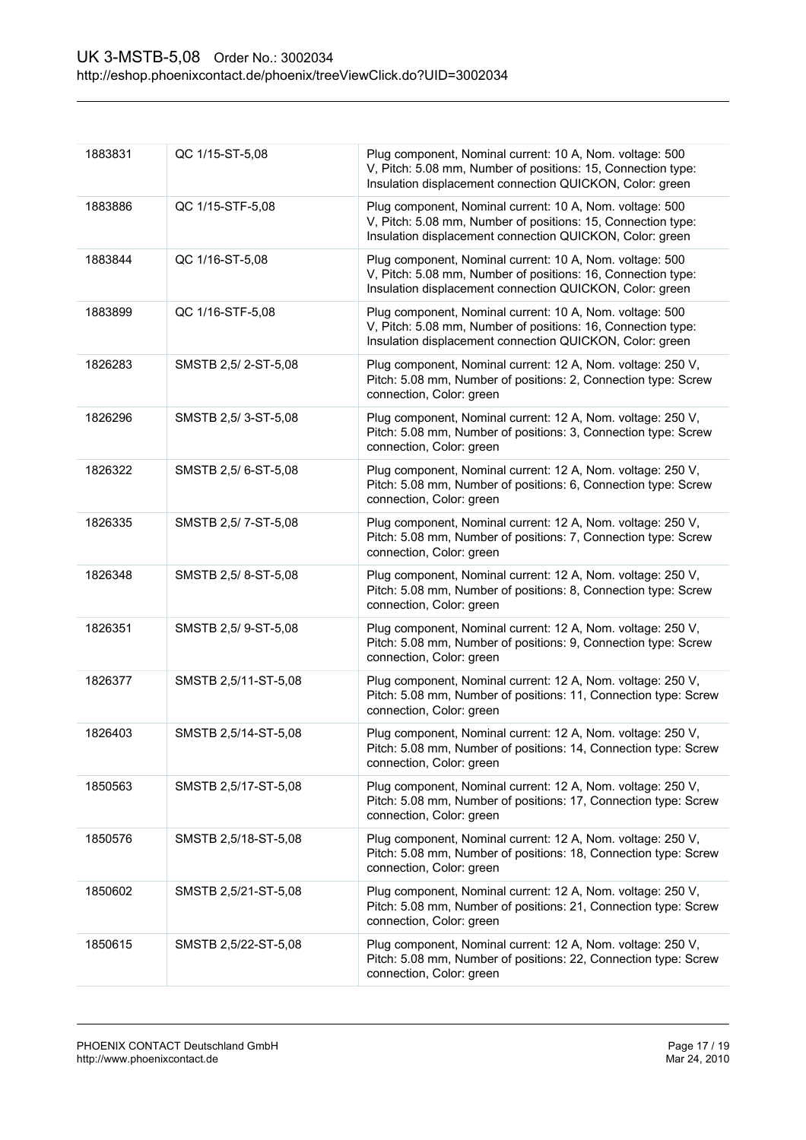| 1883831 | QC 1/15-ST-5,08      | Plug component, Nominal current: 10 A, Nom. voltage: 500<br>V, Pitch: 5.08 mm, Number of positions: 15, Connection type:<br>Insulation displacement connection QUICKON, Color: green |
|---------|----------------------|--------------------------------------------------------------------------------------------------------------------------------------------------------------------------------------|
| 1883886 | QC 1/15-STF-5,08     | Plug component, Nominal current: 10 A, Nom. voltage: 500<br>V, Pitch: 5.08 mm, Number of positions: 15, Connection type:<br>Insulation displacement connection QUICKON, Color: green |
| 1883844 | QC 1/16-ST-5,08      | Plug component, Nominal current: 10 A, Nom. voltage: 500<br>V, Pitch: 5.08 mm, Number of positions: 16, Connection type:<br>Insulation displacement connection QUICKON, Color: green |
| 1883899 | QC 1/16-STF-5,08     | Plug component, Nominal current: 10 A, Nom. voltage: 500<br>V, Pitch: 5.08 mm, Number of positions: 16, Connection type:<br>Insulation displacement connection QUICKON, Color: green |
| 1826283 | SMSTB 2,5/2-ST-5,08  | Plug component, Nominal current: 12 A, Nom. voltage: 250 V,<br>Pitch: 5.08 mm, Number of positions: 2, Connection type: Screw<br>connection, Color: green                            |
| 1826296 | SMSTB 2,5/3-ST-5,08  | Plug component, Nominal current: 12 A, Nom. voltage: 250 V,<br>Pitch: 5.08 mm, Number of positions: 3, Connection type: Screw<br>connection, Color: green                            |
| 1826322 | SMSTB 2,5/6-ST-5,08  | Plug component, Nominal current: 12 A, Nom. voltage: 250 V,<br>Pitch: 5.08 mm, Number of positions: 6, Connection type: Screw<br>connection, Color: green                            |
| 1826335 | SMSTB 2,5/7-ST-5,08  | Plug component, Nominal current: 12 A, Nom. voltage: 250 V,<br>Pitch: 5.08 mm, Number of positions: 7, Connection type: Screw<br>connection, Color: green                            |
| 1826348 | SMSTB 2,5/8-ST-5,08  | Plug component, Nominal current: 12 A, Nom. voltage: 250 V,<br>Pitch: 5.08 mm, Number of positions: 8, Connection type: Screw<br>connection, Color: green                            |
| 1826351 | SMSTB 2,5/9-ST-5,08  | Plug component, Nominal current: 12 A, Nom. voltage: 250 V,<br>Pitch: 5.08 mm, Number of positions: 9, Connection type: Screw<br>connection, Color: green                            |
| 1826377 | SMSTB 2,5/11-ST-5,08 | Plug component, Nominal current: 12 A, Nom. voltage: 250 V,<br>Pitch: 5.08 mm, Number of positions: 11, Connection type: Screw<br>connection, Color: green                           |
| 1826403 | SMSTB 2,5/14-ST-5,08 | Plug component, Nominal current: 12 A, Nom. voltage: 250 V,<br>Pitch: 5.08 mm, Number of positions: 14, Connection type: Screw<br>connection, Color: green                           |
| 1850563 | SMSTB 2,5/17-ST-5,08 | Plug component, Nominal current: 12 A, Nom. voltage: 250 V,<br>Pitch: 5.08 mm, Number of positions: 17, Connection type: Screw<br>connection, Color: green                           |
| 1850576 | SMSTB 2,5/18-ST-5,08 | Plug component, Nominal current: 12 A, Nom. voltage: 250 V,<br>Pitch: 5.08 mm, Number of positions: 18, Connection type: Screw<br>connection, Color: green                           |
| 1850602 | SMSTB 2,5/21-ST-5,08 | Plug component, Nominal current: 12 A, Nom. voltage: 250 V,<br>Pitch: 5.08 mm, Number of positions: 21, Connection type: Screw<br>connection, Color: green                           |
| 1850615 | SMSTB 2,5/22-ST-5,08 | Plug component, Nominal current: 12 A, Nom. voltage: 250 V,<br>Pitch: 5.08 mm, Number of positions: 22, Connection type: Screw<br>connection, Color: green                           |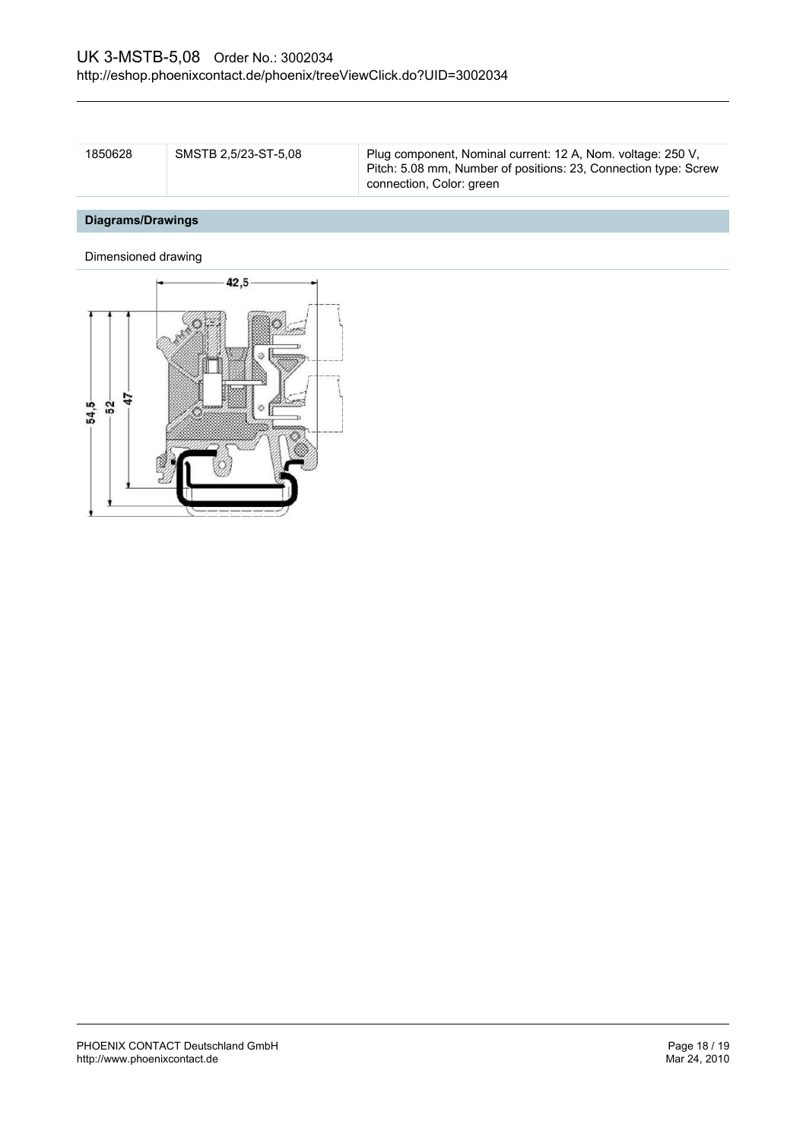| 1850628 | SMSTB 2.5/23-ST-5.08 | Plug component, Nominal current: 12 A, Nom. voltage: 250 V,<br>Pitch: 5.08 mm, Number of positions: 23, Connection type: Screw |
|---------|----------------------|--------------------------------------------------------------------------------------------------------------------------------|
|         |                      | connection, Color: green                                                                                                       |

# **Diagrams/Drawings**

Dimensioned drawing